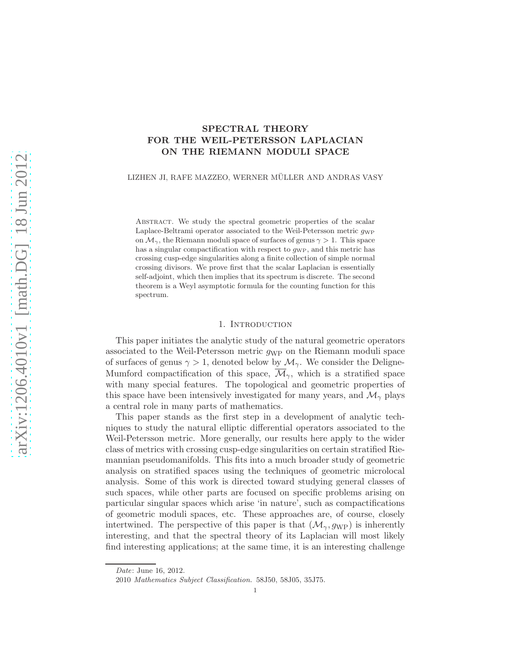# SPECTRAL THEORY FOR THE WEIL-PETERSSON LAPLACIAN ON THE RIEMANN MODULI SPACE

LIZHEN JI, RAFE MAZZEO, WERNER MÜLLER AND ANDRAS VASY

ABSTRACT. We study the spectral geometric properties of the scalar Laplace-Beltrami operator associated to the Weil-Petersson metric  $q_{\rm WP}$ on  $\mathcal{M}_{\gamma}$ , the Riemann moduli space of surfaces of genus  $\gamma > 1$ . This space has a singular compactification with respect to  $q_{\rm WP}$ , and this metric has crossing cusp-edge singularities along a finite collection of simple normal crossing divisors. We prove first that the scalar Laplacian is essentially self-adjoint, which then implies that its spectrum is discrete. The second theorem is a Weyl asymptotic formula for the counting function for this spectrum.

### 1. Introduction

This paper initiates the analytic study of the natural geometric operators associated to the Weil-Petersson metric  $g_{\rm WP}$  on the Riemann moduli space of surfaces of genus  $\gamma > 1$ , denoted below by  $\mathcal{M}_{\gamma}$ . We consider the Deligne-Mumford compactification of this space,  $\overline{\mathcal{M}}_{\gamma}$ , which is a stratified space with many special features. The topological and geometric properties of this space have been intensively investigated for many years, and  $\mathcal{M}_{\gamma}$  plays a central role in many parts of mathematics.

This paper stands as the first step in a development of analytic techniques to study the natural elliptic differential operators associated to the Weil-Petersson metric. More generally, our results here apply to the wider class of metrics with crossing cusp-edge singularities on certain stratified Riemannian pseudomanifolds. This fits into a much broader study of geometric analysis on stratified spaces using the techniques of geometric microlocal analysis. Some of this work is directed toward studying general classes of such spaces, while other parts are focused on specific problems arising on particular singular spaces which arise 'in nature', such as compactifications of geometric moduli spaces, etc. These approaches are, of course, closely intertwined. The perspective of this paper is that  $(\mathcal{M}_{\gamma}, g_{\text{WP}})$  is inherently interesting, and that the spectral theory of its Laplacian will most likely find interesting applications; at the same time, it is an interesting challenge

Date: June 16, 2012.

<sup>2010</sup> Mathematics Subject Classification. 58J50, 58J05, 35J75.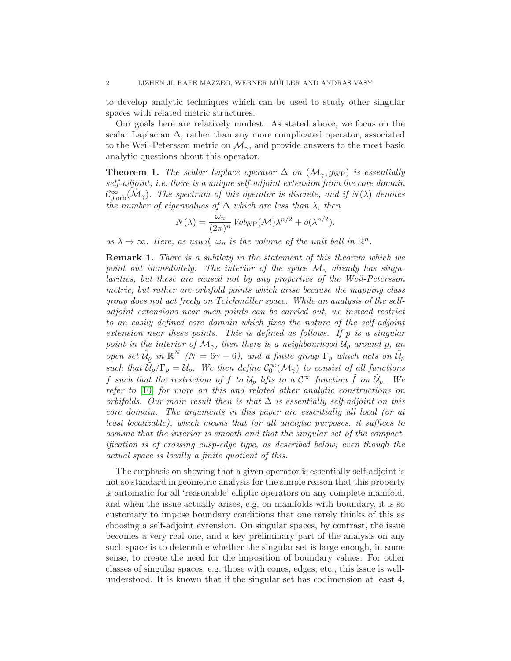to develop analytic techniques which can be used to study other singular spaces with related metric structures.

Our goals here are relatively modest. As stated above, we focus on the scalar Laplacian  $\Delta$ , rather than any more complicated operator, associated to the Weil-Petersson metric on  $\mathcal{M}_{\gamma}$ , and provide answers to the most basic analytic questions about this operator.

**Theorem 1.** The scalar Laplace operator  $\Delta$  on  $(\mathcal{M}_{\gamma}, g_{WP})$  is essentially self-adjoint, i.e. there is a unique self-adjoint extension from the core domain  $\mathcal{C}^{\infty}_{0,\text{orb}}(\mathcal{M}_{\gamma})$ . The spectrum of this operator is discrete, and if  $N(\lambda)$  denotes the number of eigenvalues of  $\Delta$  which are less than  $\lambda$ , then

$$
N(\lambda) = \frac{\omega_n}{(2\pi)^n} Vol_{\text{WP}}(\mathcal{M}) \lambda^{n/2} + o(\lambda^{n/2}).
$$

as  $\lambda \to \infty$ . Here, as usual,  $\omega_n$  is the volume of the unit ball in  $\mathbb{R}^n$ .

**Remark 1.** There is a subtlety in the statement of this theorem which we point out immediately. The interior of the space  $\mathcal{M}_{\gamma}$  already has singularities, but these are caused not by any properties of the Weil-Petersson metric, but rather are orbifold points which arise because the mapping class group does not act freely on Teichmüller space. While an analysis of the selfadjoint extensions near such points can be carried out, we instead restrict to an easily defined core domain which fixes the nature of the self-adjoint extension near these points. This is defined as follows. If  $p$  is a singular point in the interior of  $\mathcal{M}_{\gamma}$ , then there is a neighbourhood  $\mathcal{U}_p$  around p, an open set  $\tilde{\mathcal{U}}_p$  in  $\mathbb{R}^N$  (N = 6 $\gamma$  - 6), and a finite group  $\Gamma_p$  which acts on  $\tilde{\mathcal{U}}_p$ such that  $\tilde{U}_p/\Gamma_p = U_p$ . We then define  $\mathcal{C}_0^{\infty}(\mathcal{M}_{\gamma})$  to consist of all functions f such that the restriction of f to  $U_p$  lifts to a  $\mathcal{C}^\infty$  function  $\tilde{f}$  on  $\tilde{U}_p$ . We refer to [\[10\]](#page-25-0) for more on this and related other analytic constructions on orbifolds. Our main result then is that  $\Delta$  is essentially self-adjoint on this core domain. The arguments in this paper are essentially all local (or at least localizable), which means that for all analytic purposes, it suffices to assume that the interior is smooth and that the singular set of the compactification is of crossing cusp-edge type, as described below, even though the actual space is locally a finite quotient of this.

The emphasis on showing that a given operator is essentially self-adjoint is not so standard in geometric analysis for the simple reason that this property is automatic for all 'reasonable' elliptic operators on any complete manifold, and when the issue actually arises, e.g. on manifolds with boundary, it is so customary to impose boundary conditions that one rarely thinks of this as choosing a self-adjoint extension. On singular spaces, by contrast, the issue becomes a very real one, and a key preliminary part of the analysis on any such space is to determine whether the singular set is large enough, in some sense, to create the need for the imposition of boundary values. For other classes of singular spaces, e.g. those with cones, edges, etc., this issue is wellunderstood. It is known that if the singular set has codimension at least 4,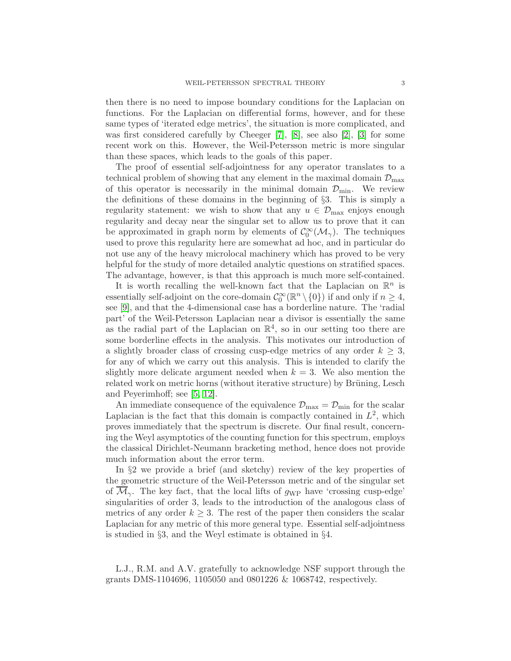then there is no need to impose boundary conditions for the Laplacian on functions. For the Laplacian on differential forms, however, and for these same types of 'iterated edge metrics', the situation is more complicated, and was first considered carefully by Cheeger [\[7\]](#page-25-1), [\[8\]](#page-25-2), see also [\[2\]](#page-24-0), [\[3\]](#page-24-1) for some recent work on this. However, the Weil-Petersson metric is more singular than these spaces, which leads to the goals of this paper.

The proof of essential self-adjointness for any operator translates to a technical problem of showing that any element in the maximal domain  $\mathcal{D}_{\max}$ of this operator is necessarily in the minimal domain  $\mathcal{D}_{\text{min}}$ . We review the definitions of these domains in the beginning of §3. This is simply a regularity statement: we wish to show that any  $u \in \mathcal{D}_{\text{max}}$  enjoys enough regularity and decay near the singular set to allow us to prove that it can be approximated in graph norm by elements of  $\mathcal{C}_0^{\infty}(\mathcal{M}_{\gamma})$ . The techniques used to prove this regularity here are somewhat ad hoc, and in particular do not use any of the heavy microlocal machinery which has proved to be very helpful for the study of more detailed analytic questions on stratified spaces. The advantage, however, is that this approach is much more self-contained.

It is worth recalling the well-known fact that the Laplacian on  $\mathbb{R}^n$  is essentially self-adjoint on the core-domain  $\mathcal{C}_0^{\infty}(\mathbb{R}^n \setminus \{0\})$  if and only if  $n \geq 4$ , see [\[9\]](#page-25-3), and that the 4-dimensional case has a borderline nature. The 'radial part' of the Weil-Petersson Laplacian near a divisor is essentially the same as the radial part of the Laplacian on  $\mathbb{R}^4$ , so in our setting too there are some borderline effects in the analysis. This motivates our introduction of a slightly broader class of crossing cusp-edge metrics of any order  $k \geq 3$ , for any of which we carry out this analysis. This is intended to clarify the slightly more delicate argument needed when  $k = 3$ . We also mention the related work on metric horns (without iterative structure) by Brüning, Lesch and Peyerimhoff; see [\[5,](#page-24-2) [12\]](#page-25-4).

An immediate consequence of the equivalence  $\mathcal{D}_{\text{max}} = \mathcal{D}_{\text{min}}$  for the scalar Laplacian is the fact that this domain is compactly contained in  $L^2$ , which proves immediately that the spectrum is discrete. Our final result, concerning the Weyl asymptotics of the counting function for this spectrum, employs the classical Dirichlet-Neumann bracketing method, hence does not provide much information about the error term.

In §2 we provide a brief (and sketchy) review of the key properties of the geometric structure of the Weil-Petersson metric and of the singular set of  $\overline{\mathcal{M}}_{\gamma}$ . The key fact, that the local lifts of g<sub>WP</sub> have 'crossing cusp-edge' singularities of order 3, leads to the introduction of the analogous class of metrics of any order  $k \geq 3$ . The rest of the paper then considers the scalar Laplacian for any metric of this more general type. Essential self-adjointness is studied in §3, and the Weyl estimate is obtained in §4.

L.J., R.M. and A.V. gratefully to acknowledge NSF support through the grants DMS-1104696, 1105050 and 0801226 & 1068742, respectively.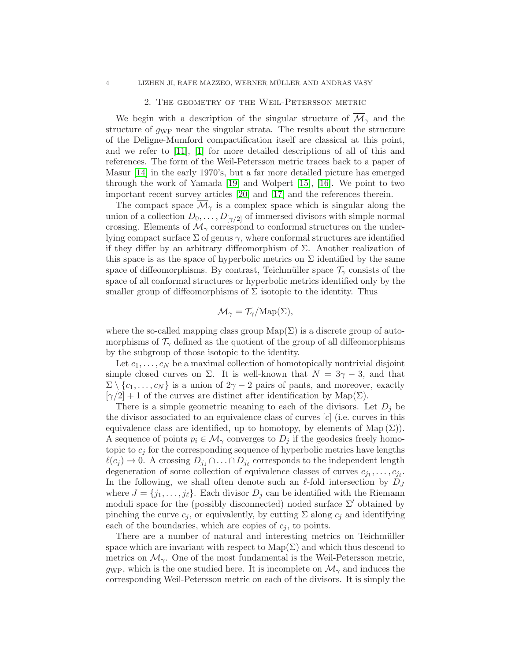# 2. The geometry of the Weil-Petersson metric

We begin with a description of the singular structure of  $\overline{\mathcal{M}}_{\gamma}$  and the structure of  $g_{\text{WP}}$  near the singular strata. The results about the structure of the Deligne-Mumford compactification itself are classical at this point, and we refer to [\[11\]](#page-25-5), [\[1\]](#page-24-3) for more detailed descriptions of all of this and references. The form of the Weil-Petersson metric traces back to a paper of Masur [\[14\]](#page-25-6) in the early 1970's, but a far more detailed picture has emerged through the work of Yamada [\[19\]](#page-25-7) and Wolpert [\[15\]](#page-25-8), [\[16\]](#page-25-9). We point to two important recent survey articles [\[20\]](#page-25-10) and [\[17\]](#page-25-11) and the references therein.

The compact space  $\mathcal{M}_{\gamma}$  is a complex space which is singular along the union of a collection  $D_0, \ldots, D_{[\gamma/2]}$  of immersed divisors with simple normal crossing. Elements of  $\mathcal{M}_{\gamma}$  correspond to conformal structures on the underlying compact surface  $\Sigma$  of genus  $\gamma$ , where conformal structures are identified if they differ by an arbitrary diffeomorphism of  $\Sigma$ . Another realization of this space is as the space of hyperbolic metrics on  $\Sigma$  identified by the same space of diffeomorphisms. By contrast, Teichmüller space  $\mathcal{T}_{\gamma}$  consists of the space of all conformal structures or hyperbolic metrics identified only by the smaller group of diffeomorphisms of  $\Sigma$  isotopic to the identity. Thus

$$
\mathcal{M}_{\gamma} = \mathcal{T}_{\gamma} / \mathrm{Map}(\Sigma),
$$

where the so-called mapping class group  $\text{Map}(\Sigma)$  is a discrete group of automorphisms of  $\mathcal{T}_{\gamma}$  defined as the quotient of the group of all diffeomorphisms by the subgroup of those isotopic to the identity.

Let  $c_1, \ldots, c_N$  be a maximal collection of homotopically nontrivial disjoint simple closed curves on  $\Sigma$ . It is well-known that  $N = 3\gamma - 3$ , and that  $\Sigma \setminus \{c_1, \ldots, c_N\}$  is a union of  $2\gamma - 2$  pairs of pants, and moreover, exactly  $[\gamma/2] + 1$  of the curves are distinct after identification by Map(Σ).

There is a simple geometric meaning to each of the divisors. Let  $D_i$  be the divisor associated to an equivalence class of curves  $[c]$  (i.e. curves in this equivalence class are identified, up to homotopy, by elements of Map  $(\Sigma)$ ). A sequence of points  $p_i \in \mathcal{M}_{\gamma}$  converges to  $D_j$  if the geodesics freely homotopic to  $c_j$  for the corresponding sequence of hyperbolic metrics have lengths  $\ell(c_j) \to 0$ . A crossing  $D_{j_1} \cap \ldots \cap D_{j_\ell}$  corresponds to the independent length degeneration of some collection of equivalence classes of curves  $c_{j_1}, \ldots, c_{j_\ell}$ . In the following, we shall often denote such an  $\ell$ -fold intersection by  $D_J$ where  $J = \{j_1, \ldots, j_\ell\}$ . Each divisor  $D_j$  can be identified with the Riemann moduli space for the (possibly disconnected) noded surface  $\Sigma'$  obtained by pinching the curve  $c_j$ , or equivalently, by cutting  $\Sigma$  along  $c_j$  and identifying each of the boundaries, which are copies of  $c_i$ , to points.

There are a number of natural and interesting metrics on Teichmüller space which are invariant with respect to  $\text{Map}(\Sigma)$  and which thus descend to metrics on  $\mathcal{M}_{\gamma}$ . One of the most fundamental is the Weil-Petersson metric, gwp, which is the one studied here. It is incomplete on  $\mathcal{M}_{\gamma}$  and induces the corresponding Weil-Petersson metric on each of the divisors. It is simply the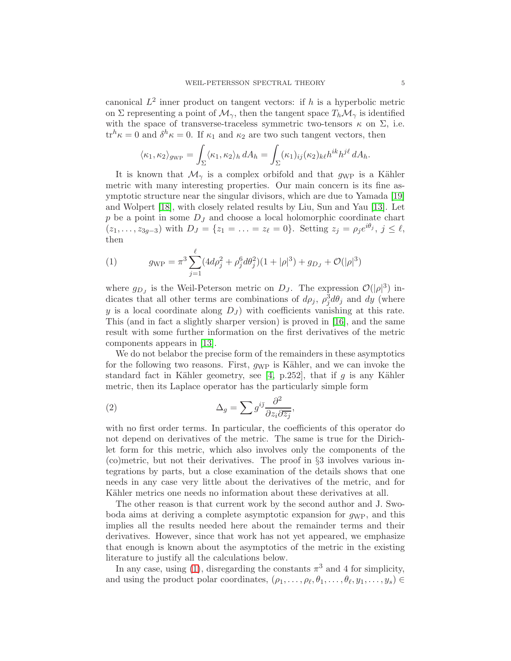canonical  $L^2$  inner product on tangent vectors: if h is a hyperbolic metric on  $\Sigma$  representing a point of  $\mathcal{M}_{\gamma}$ , then the tangent space  $T_h \mathcal{M}_{\gamma}$  is identified with the space of transverse-traceless symmetric two-tensors  $\kappa$  on  $\Sigma$ , i.e.  $tr^h \kappa = 0$  and  $\delta^h \kappa = 0$ . If  $\kappa_1$  and  $\kappa_2$  are two such tangent vectors, then

$$
\langle \kappa_1, \kappa_2 \rangle_{g_{\rm WP}} = \int_{\Sigma} \langle \kappa_1, \kappa_2 \rangle_h dA_h = \int_{\Sigma} (\kappa_1)_{ij} (\kappa_2)_{k\ell} h^{ik} h^{j\ell} dA_h.
$$

It is known that  $\mathcal{M}_{\gamma}$  is a complex orbifold and that  $g_{\rm WP}$  is a Kähler metric with many interesting properties. Our main concern is its fine asymptotic structure near the singular divisors, which are due to Yamada [\[19\]](#page-25-7) and Wolpert [\[18\]](#page-25-12), with closely related results by Liu, Sun and Yau [\[13\]](#page-25-13). Let  $p$  be a point in some  $D<sub>J</sub>$  and choose a local holomorphic coordinate chart  $(z_1, \ldots, z_{3g-3})$  with  $D_J = \{z_1 = \ldots = z_\ell = 0\}$ . Setting  $z_j = \rho_j e^{i\theta_j}$ ,  $j \leq \ell$ , then

<span id="page-4-0"></span>(1) 
$$
g_{\rm WP} = \pi^3 \sum_{j=1}^{\ell} (4d\rho_j^2 + \rho_j^6 d\theta_j^2)(1 + |\rho|^3) + g_{D_J} + \mathcal{O}(|\rho|^3)
$$

where  $g_{D_J}$  is the Weil-Peterson metric on  $D_J$ . The expression  $\mathcal{O}(|\rho|^3)$  indicates that all other terms are combinations of  $d\rho_j$ ,  $\rho_j^3 d\theta_j$  and dy (where y is a local coordinate along  $D_J$ ) with coefficients vanishing at this rate. This (and in fact a slightly sharper version) is proved in [\[16\]](#page-25-9), and the same result with some further information on the first derivatives of the metric components appears in [\[13\]](#page-25-13).

We do not belabor the precise form of the remainders in these asymptotics for the following two reasons. First,  $g_{WP}$  is Kähler, and we can invoke the standard fact in Kähler geometry, see [\[4,](#page-24-4) p.252], that if g is any Kähler metric, then its Laplace operator has the particularly simple form

<span id="page-4-1"></span>(2) 
$$
\Delta_g = \sum g^{i\bar{j}} \frac{\partial^2}{\partial z_i \partial \overline{z_j}},
$$

with no first order terms. In particular, the coefficients of this operator do not depend on derivatives of the metric. The same is true for the Dirichlet form for this metric, which also involves only the components of the (co)metric, but not their derivatives. The proof in §3 involves various integrations by parts, but a close examination of the details shows that one needs in any case very little about the derivatives of the metric, and for Kähler metrics one needs no information about these derivatives at all.

The other reason is that current work by the second author and J. Swoboda aims at deriving a complete asymptotic expansion for  $q_{WP}$ , and this implies all the results needed here about the remainder terms and their derivatives. However, since that work has not yet appeared, we emphasize that enough is known about the asymptotics of the metric in the existing literature to justify all the calculations below.

In any case, using [\(1\)](#page-4-0), disregarding the constants  $\pi^3$  and 4 for simplicity, and using the product polar coordinates,  $(\rho_1, \ldots, \rho_\ell, \theta_1, \ldots, \theta_\ell, y_1, \ldots, y_s) \in$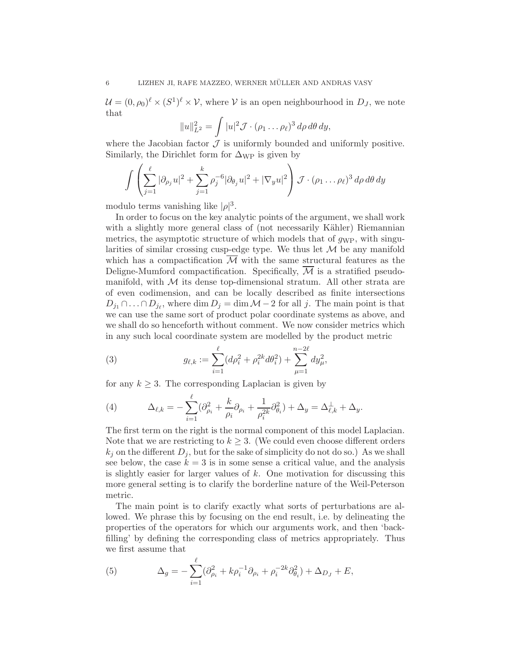$\mathcal{U} = (0, \rho_0)^{\ell} \times (S^1)^{\ell} \times \mathcal{V}$ , where  $\mathcal{V}$  is an open neighbourhood in  $D_J$ , we note that

$$
||u||_{L^2}^2 = \int |u|^2 \mathcal{J} \cdot (\rho_1 \dots \rho_\ell)^3 d\rho d\theta dy,
$$

where the Jacobian factor  $\mathcal J$  is uniformly bounded and uniformly positive. Similarly, the Dirichlet form for  $\Delta_{\rm WP}$  is given by

$$
\int \left( \sum_{j=1}^{\ell} |\partial_{\rho_j} u|^2 + \sum_{j=1}^{k} \rho_j^{-6} |\partial_{\theta_j} u|^2 + |\nabla_y u|^2 \right) \mathcal{J} \cdot (\rho_1 \dots \rho_\ell)^3 d\rho d\theta dy
$$

modulo terms vanishing like  $|\rho|^3$ .

In order to focus on the key analytic points of the argument, we shall work with a slightly more general class of (not necessarily Kähler) Riemannian metrics, the asymptotic structure of which models that of  $g_{WP}$ , with singularities of similar crossing cusp-edge type. We thus let  $\mathcal M$  be any manifold which has a compactification  $\mathcal M$  with the same structural features as the Deligne-Mumford compactification. Specifically,  $\overline{\mathcal{M}}$  is a stratified pseudomanifold, with  $M$  its dense top-dimensional stratum. All other strata are of even codimension, and can be locally described as finite intersections  $D_{j_1} \cap \ldots \cap D_{j_\ell}$ , where  $\dim D_j = \dim \mathcal{M} - 2$  for all j. The main point is that we can use the same sort of product polar coordinate systems as above, and we shall do so henceforth without comment. We now consider metrics which in any such local coordinate system are modelled by the product metric

(3) 
$$
g_{\ell,k} := \sum_{i=1}^{\ell} (d\rho_i^2 + \rho_i^{2k} d\theta_i^2) + \sum_{\mu=1}^{n-2\ell} dy_{\mu}^2,
$$

for any  $k \geq 3$ . The corresponding Laplacian is given by

(4) 
$$
\Delta_{\ell,k} = -\sum_{i=1}^{\ell} (\partial_{\rho_i}^2 + \frac{k}{\rho_i} \partial_{\rho_i} + \frac{1}{\rho_i^{2k}} \partial_{\theta_i}^2) + \Delta_y = \Delta_{\ell,k}^{\perp} + \Delta_y.
$$

The first term on the right is the normal component of this model Laplacian. Note that we are restricting to  $k \geq 3$ . (We could even choose different orders  $k_j$  on the different  $D_j$ , but for the sake of simplicity do not do so.) As we shall see below, the case  $k = 3$  is in some sense a critical value, and the analysis is slightly easier for larger values of  $k$ . One motivation for discussing this more general setting is to clarify the borderline nature of the Weil-Peterson metric.

The main point is to clarify exactly what sorts of perturbations are allowed. We phrase this by focusing on the end result, i.e. by delineating the properties of the operators for which our arguments work, and then 'backfilling' by defining the corresponding class of metrics appropriately. Thus we first assume that

(5) 
$$
\Delta_g = -\sum_{i=1}^{\ell} (\partial_{\rho_i}^2 + k \rho_i^{-1} \partial_{\rho_i} + \rho_i^{-2k} \partial_{\theta_i}^2) + \Delta_{D_J} + E,
$$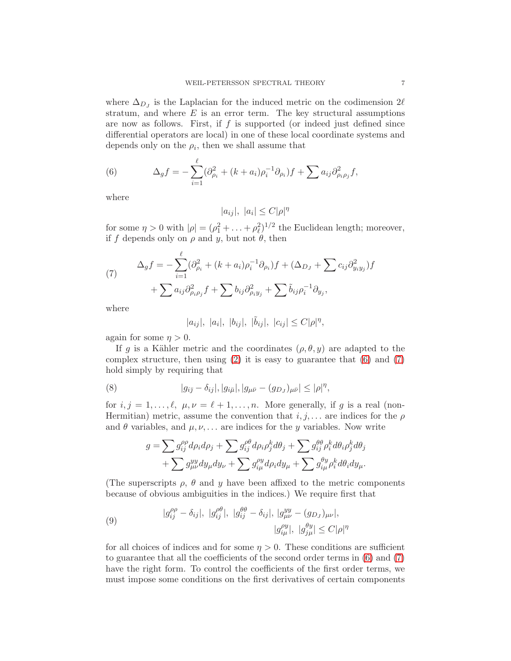where  $\Delta_{D_J}$  is the Laplacian for the induced metric on the codimension 2 $\ell$ stratum, and where  $E$  is an error term. The key structural assumptions are now as follows. First, if  $f$  is supported (or indeed just defined since differential operators are local) in one of these local coordinate systems and depends only on the  $\rho_i$ , then we shall assume that

<span id="page-6-0"></span>(6) 
$$
\Delta_g f = -\sum_{i=1}^{\ell} (\partial_{\rho_i}^2 + (k + a_i)\rho_i^{-1} \partial_{\rho_i}) f + \sum a_{ij} \partial_{\rho_i \rho_j}^2 f,
$$

where

$$
|a_{ij}|, |a_i| \le C|\rho|^{\eta}
$$

for some  $\eta > 0$  with  $|\rho| = (\rho_1^2 + \ldots + \rho_\ell^2)^{1/2}$  the Euclidean length; moreover, if f depends only on  $\rho$  and y, but not  $\theta$ , then

<span id="page-6-1"></span>(7) 
$$
\Delta_g f = -\sum_{i=1}^{\ell} (\partial_{\rho_i}^2 + (k + a_i)\rho_i^{-1}\partial_{\rho_i})f + (\Delta_{D_J} + \sum c_{ij}\partial_{y_iy_j}^2)f
$$

$$
+ \sum a_{ij}\partial_{\rho_i\rho_j}^2 f + \sum b_{ij}\partial_{\rho_iy_j}^2 + \sum \tilde{b}_{ij}\rho_i^{-1}\partial_{y_j},
$$

where

$$
|a_{ij}|, |a_i|, |b_{ij}|, |\tilde{b}_{ij}|, |c_{ij}| \leq C|\rho|^{\eta},
$$

again for some  $\eta > 0$ .

If g is a Kähler metric and the coordinates  $(\rho, \theta, y)$  are adapted to the complex structure, then using  $(2)$  it is easy to guarantee that  $(6)$  and  $(7)$ hold simply by requiring that

(8) 
$$
|g_{i\bar{j}} - \delta_{ij}|, |g_{i\bar{\mu}}|, |g_{\mu\bar{\nu}} - (g_{D_J})_{\mu\bar{\nu}}| \leq |\rho|^{\eta},
$$

for  $i, j = 1, \ldots, \ell, \mu, \nu = \ell + 1, \ldots, n$ . More generally, if g is a real (non-Hermitian) metric, assume the convention that  $i, j, \ldots$  are indices for the  $\rho$ and  $\theta$  variables, and  $\mu, \nu, \ldots$  are indices for the y variables. Now write

$$
g = \sum g_{ij}^{\rho \rho} d\rho_i d\rho_j + \sum g_{ij}^{\rho \theta} d\rho_i \rho_j^k d\theta_j + \sum g_{ij}^{\theta \theta} \rho_i^k d\theta_i \rho_j^k d\theta_j + \sum g_{\mu\nu}^{yy} dy_{\mu} dy_{\nu} + \sum g_{i\mu}^{\rho y} d\rho_i dy_{\mu} + \sum g_{i\mu}^{\theta y} \rho_i^k d\theta_i dy_{\mu}.
$$

(The superscripts  $\rho$ ,  $\theta$  and  $y$  have been affixed to the metric components because of obvious ambiguities in the indices.) We require first that

<span id="page-6-2"></span>(9) 
$$
|g_{ij}^{\rho\rho} - \delta_{ij}|, |g_{ij}^{\rho\theta}|, |g_{ij}^{\theta\theta} - \delta_{ij}|, |g_{\mu\nu}^{yy} - (g_{D_J})_{\mu\nu}|, |g_{i\mu}^{\rho y}|, |g_{j\mu}^{\theta y}| \le C|\rho|^{\eta}
$$

for all choices of indices and for some  $\eta > 0$ . These conditions are sufficient to guarantee that all the coefficients of the second order terms in [\(6\)](#page-6-0) and [\(7\)](#page-6-1) have the right form. To control the coefficients of the first order terms, we must impose some conditions on the first derivatives of certain components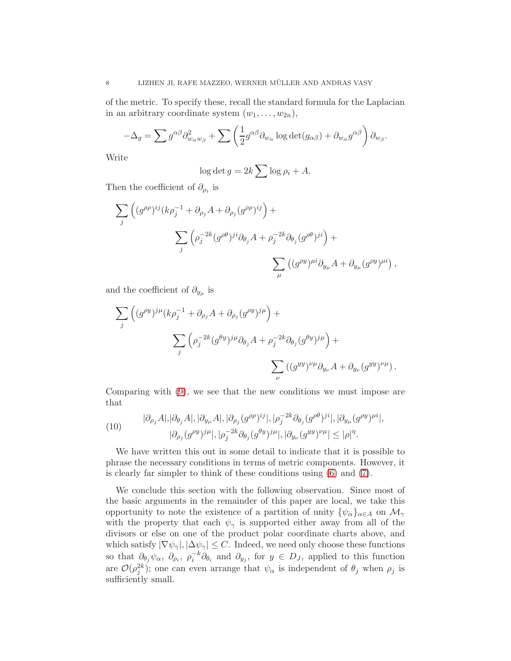of the metric. To specify these, recall the standard formula for the Laplacian in an arbitrary coordinate system  $(w_1, \ldots, w_{2n}),$ 

$$
-\Delta_g = \sum g^{\alpha\beta} \partial_{w_\alpha w_\beta}^2 + \sum \left( \frac{1}{2} g^{\alpha\beta} \partial_{w_\alpha} \log \det(g_{\alpha\beta}) + \partial_{w_\alpha} g^{\alpha\beta} \right) \partial_{w_\beta}.
$$

Write

$$
\log \det g = 2k \sum \log \rho_i + A.
$$

Then the coefficient of  $\partial_{\rho_i}$  is

$$
\sum_{j} \left( (g^{\rho \rho})^{ij} (k \rho_j^{-1} + \partial_{\rho_j} A + \partial_{\rho_j} (g^{\rho \rho})^{ij} \right) +
$$
  

$$
\sum_{j} \left( \rho_j^{-2k} (g^{\rho \theta})^{ji} \partial_{\theta_j} A + \rho_j^{-2k} \partial_{\theta_j} (g^{\rho \theta})^{ji} \right) +
$$
  

$$
\sum_{\mu} \left( (g^{\rho y})^{\mu i} \partial_{y\mu} A + \partial_{y\mu} (g^{\rho y})^{\mu i} \right),
$$

and the coefficient of  $\partial_{y_\mu}$  is

$$
\sum_{j} \left( (g^{\rho y})^{j\mu} (k \rho_j^{-1} + \partial_{\rho_j} A + \partial_{\rho_j} (g^{\rho y})^{j\mu} \right) +
$$
  

$$
\sum_{j} \left( \rho_j^{-2k} (g^{\theta y})^{j\mu} \partial_{\theta_j} A + \rho_j^{-2k} \partial_{\theta_j} (g^{\theta y})^{j\mu} \right) +
$$
  

$$
\sum_{\nu} ((g^{yy})^{\nu \mu} \partial_{y_{\nu}} A + \partial_{y_{\nu}} (g^{yy})^{\nu \mu}).
$$

Comparing with [\(9\)](#page-6-2), we see that the new conditions we must impose are that

<span id="page-7-0"></span>(10) 
$$
|\partial_{\rho_j} A|, |\partial_{\theta_j} A|, |\partial_{y_\mu} A|, |\partial_{\rho_j} (g^{\rho \rho})^{ij}|, |\rho_j^{-2k} \partial_{\theta_j} (g^{\rho \theta})^{ji}|, |\partial_{y_\mu} (g^{\rho y})^{\mu i}|, |\partial_{\rho_j} (g^{\rho y})^{j\mu}|, |\rho_j^{-2k} \partial_{\theta_j} (g^{\theta y})^{j\mu}|, |\partial_{y_\nu} (g^{yy})^{\nu \mu}| \leq |\rho|^{\eta}.
$$

We have written this out in some detail to indicate that it is possible to phrase the necessary conditions in terms of metric components. However, it is clearly far simpler to think of these conditions using [\(6\)](#page-6-0) and [\(7\)](#page-6-1).

We conclude this section with the following observation. Since most of the basic arguments in the remainder of this paper are local, we take this opportunity to note the existence of a partition of unity  $\{\psi_{\alpha}\}_{{\alpha \in A}}$  on  $\mathcal{M}_{\gamma}$ with the property that each  $\psi_{\gamma}$  is supported either away from all of the divisors or else on one of the product polar coordinate charts above, and which satisfy  $|\nabla \psi_{\gamma}|, |\Delta \psi_{\gamma}| \leq C$ . Indeed, we need only choose these functions so that  $\partial_{\theta_j} \psi_\alpha$ ,  $\partial_{\rho_i}$ ,  $\rho_i^{-k} \partial_{\theta_i}$  and  $\partial_{y_j}$ , for  $y \in D_J$ , applied to this function are  $\mathcal{O}(\rho_j^{2k})$ ; one can even arrange that  $\psi_\alpha$  is independent of  $\theta_j$  when  $\rho_j$  is sufficiently small.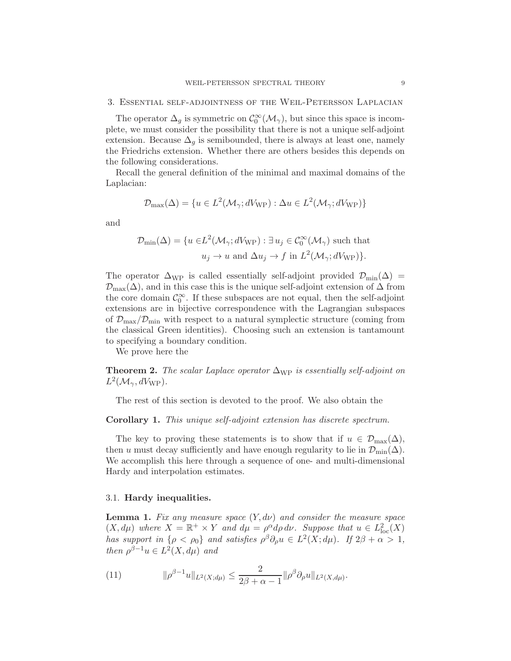The operator  $\Delta_g$  is symmetric on  $\mathcal{C}_0^{\infty}(\mathcal{M}_{\gamma})$ , but since this space is incomplete, we must consider the possibility that there is not a unique self-adjoint extension. Because  $\Delta_q$  is semibounded, there is always at least one, namely the Friedrichs extension. Whether there are others besides this depends on the following considerations.

Recall the general definition of the minimal and maximal domains of the Laplacian:

$$
\mathcal{D}_{\max}(\Delta) = \{ u \in L^2(\mathcal{M}_{\gamma}; dV_{\text{WP}}) : \Delta u \in L^2(\mathcal{M}_{\gamma}; dV_{\text{WP}}) \}
$$

and

$$
\mathcal{D}_{\min}(\Delta) = \{ u \in L^2(\mathcal{M}_{\gamma}; dV_{\text{WP}}) : \exists u_j \in C_0^{\infty}(\mathcal{M}_{\gamma}) \text{ such that } u_j \to u \text{ and } \Delta u_j \to f \text{ in } L^2(\mathcal{M}_{\gamma}; dV_{\text{WP}}) \}.
$$

The operator  $\Delta_{\text{WP}}$  is called essentially self-adjoint provided  $\mathcal{D}_{\text{min}}(\Delta)$  =  $\mathcal{D}_{\text{max}}(\Delta)$ , and in this case this is the unique self-adjoint extension of  $\Delta$  from the core domain  $\mathcal{C}_0^{\infty}$ . If these subspaces are not equal, then the self-adjoint extensions are in bijective correspondence with the Lagrangian subspaces of  $\mathcal{D}_{\text{max}}/\mathcal{D}_{\text{min}}$  with respect to a natural symplectic structure (coming from the classical Green identities). Choosing such an extension is tantamount to specifying a boundary condition.

We prove here the

**Theorem 2.** The scalar Laplace operator  $\Delta_{\rm WP}$  is essentially self-adjoint on  $L^2(\mathcal{M}_{\gamma}, dV_{\rm WP}).$ 

The rest of this section is devoted to the proof. We also obtain the

## <span id="page-8-0"></span>Corollary 1. This unique self-adjoint extension has discrete spectrum.

The key to proving these statements is to show that if  $u \in \mathcal{D}_{\max}(\Delta)$ , then u must decay sufficiently and have enough regularity to lie in  $\mathcal{D}_{\text{min}}(\Delta)$ . We accomplish this here through a sequence of one- and multi-dimensional Hardy and interpolation estimates.

# 3.1. Hardy inequalities.

<span id="page-8-1"></span>**Lemma 1.** Fix any measure space  $(Y, d\nu)$  and consider the measure space  $(X, d\mu)$  where  $X = \mathbb{R}^+ \times Y$  and  $d\mu = \rho^{\alpha} d\rho d\nu$ . Suppose that  $u \in L^2_{loc}(X)$ has support in  $\{\rho < \rho_0\}$  and satisfies  $\rho^\beta \partial_\rho u \in L^2(X; d\mu)$ . If  $2\beta + \alpha > 1$ , then  $\rho^{\beta-1}u \in L^2(X, d\mu)$  and

(11) 
$$
\|\rho^{\beta-1}u\|_{L^2(X; d\mu)} \leq \frac{2}{2\beta + \alpha - 1} \|\rho^{\beta}\partial_{\rho}u\|_{L^2(X, d\mu)}.
$$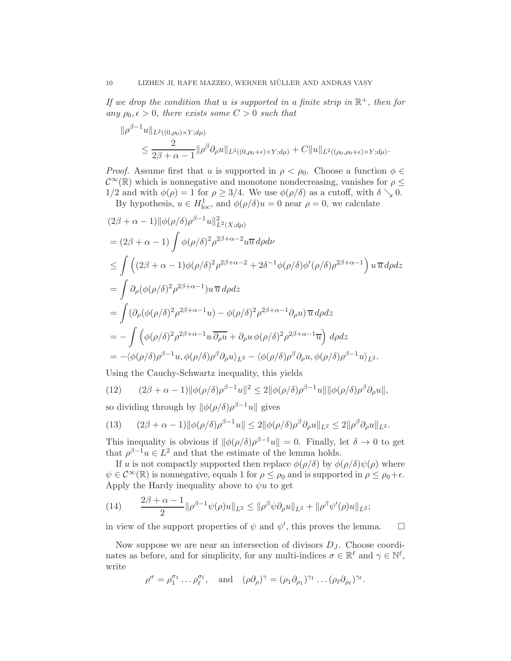If we drop the condition that u is supported in a finite strip in  $\mathbb{R}^+$ , then for any  $\rho_0, \epsilon > 0$ , there exists some  $C > 0$  such that

$$
\|\rho^{\beta-1}u\|_{L^2((0,\rho_0)\times Y; d\mu)}\leq \frac{2}{2\beta+\alpha-1}\|\rho^\beta\partial_\rho u\|_{L^2((0,\rho_0+\epsilon)\times Y; d\mu)}+C\|u\|_{L^2((\rho_0,\rho_0+\epsilon)\times Y; d\mu)}.
$$

*Proof.* Assume first that u is supported in  $\rho < \rho_0$ . Choose a function  $\phi \in$  $\mathcal{C}^{\infty}(\mathbb{R})$  which is nonnegative and monotone nondecreasing, vanishes for  $\rho \leq$ 1/2 and with  $\phi(\rho) = 1$  for  $\rho \geq 3/4$ . We use  $\phi(\rho/\delta)$  as a cutoff, with  $\delta \searrow 0$ .

By hypothesis,  $u \in H_{loc}^1$ , and  $\phi(\rho/\delta)u = 0$  near  $\rho = 0$ , we calculate

$$
(2\beta + \alpha - 1) ||\phi(\rho/\delta)\rho^{\beta - 1}u||_{L^{2}(X; d\mu)}^{2}
$$
  
\n
$$
= (2\beta + \alpha - 1) \int \phi(\rho/\delta)^{2} \rho^{2\beta + \alpha - 2} u\overline{u} d\rho d\nu
$$
  
\n
$$
\leq \int ((2\beta + \alpha - 1)\phi(\rho/\delta)^{2} \rho^{2\beta + \alpha - 2} + 2\delta^{-1}\phi(\rho/\delta)\phi'(\rho/\delta)\rho^{2\beta + \alpha - 1}) u\overline{u} d\rho dz
$$
  
\n
$$
= \int \partial_{\rho}(\phi(\rho/\delta)^{2} \rho^{2\beta + \alpha - 1}) u\overline{u} d\rho dz
$$
  
\n
$$
= \int (\partial_{\rho}(\phi(\rho/\delta)^{2} \rho^{2\beta + \alpha - 1} u) - \phi(\rho/\delta)^{2} \rho^{2\beta + \alpha - 1} \partial_{\rho} u) \overline{u} d\rho dz
$$
  
\n
$$
= - \int (\phi(\rho/\delta)^{2} \rho^{2\beta + \alpha - 1} u \overline{\partial_{\rho} u} + \partial_{\rho} u \phi(\rho/\delta)^{2} \rho^{2\beta + \alpha - 1} \overline{u}) d\rho dz
$$
  
\n
$$
= - \langle \phi(\rho/\delta) \rho^{\beta - 1} u, \phi(\rho/\delta) \rho^{\beta} \partial_{\rho} u \rangle_{L^{2}} - \langle \phi(\rho/\delta) \rho^{\beta} \partial_{\rho} u, \phi(\rho/\delta) \rho^{\beta - 1} u \rangle_{L^{2}}.
$$

Using the Cauchy-Schwartz inequality, this yields

(12) 
$$
(2\beta + \alpha - 1) \|\phi(\rho/\delta)\rho^{\beta - 1}u\|^2 \le 2 \|\phi(\rho/\delta)\rho^{\beta - 1}u\| \|\phi(\rho/\delta)\rho^{\beta}\partial_{\rho}u\|,
$$

so dividing through by  $\|\phi(\rho/\delta)\rho^{\beta-1}u\|$  gives

<span id="page-9-0"></span>(13) 
$$
(2\beta + \alpha - 1) \|\phi(\rho/\delta)\rho^{\beta - 1}u\| \leq 2\|\phi(\rho/\delta)\rho^{\beta}\partial_{\rho}u\|_{L^{2}} \leq 2\|\rho^{\beta}\partial_{\rho}u\|_{L^{2}}.
$$

This inequality is obvious if  $\|\phi(\rho/\delta)\rho^{\beta-1}u\| = 0$ . Finally, let  $\delta \to 0$  to get that  $\rho^{\beta-1}u \in L^2$  and that the estimate of the lemma holds.

If u is not compactly supported then replace  $\phi(\rho/\delta)$  by  $\phi(\rho/\delta)\psi(\rho)$  where  $\psi \in C^{\infty}(\mathbb{R})$  is nonnegative, equals 1 for  $\rho \leq \rho_0$  and is supported in  $\rho \leq \rho_0 + \epsilon$ . Apply the Hardy inequality above to  $\psi u$  to get

(14) 
$$
\frac{2\beta + \alpha - 1}{2} \|\rho^{\beta - 1}\psi(\rho)u\|_{L^2} \le \|\rho^{\beta}\psi \partial_{\rho}u\|_{L^2} + \|\rho^{\beta}\psi'(\rho)u\|_{L^2};
$$

in view of the support properties of  $\psi$  and  $\psi'$ , this proves the lemma.  $\Box$ 

Now suppose we are near an intersection of divisors  $D_J$ . Choose coordinates as before, and for simplicity, for any multi-indices  $\sigma \in \mathbb{R}^{\ell}$  and  $\gamma \in \mathbb{N}^{\ell}$ , write

$$
\rho^{\sigma} = \rho_1^{\sigma_1} \dots \rho_{\ell}^{\sigma_{\ell}}, \quad \text{and} \quad (\rho \partial_{\rho})^{\gamma} = (\rho_1 \partial_{\rho_1})^{\gamma_1} \dots (\rho_{\ell} \partial_{\rho_{\ell}})^{\gamma_{\ell}}.
$$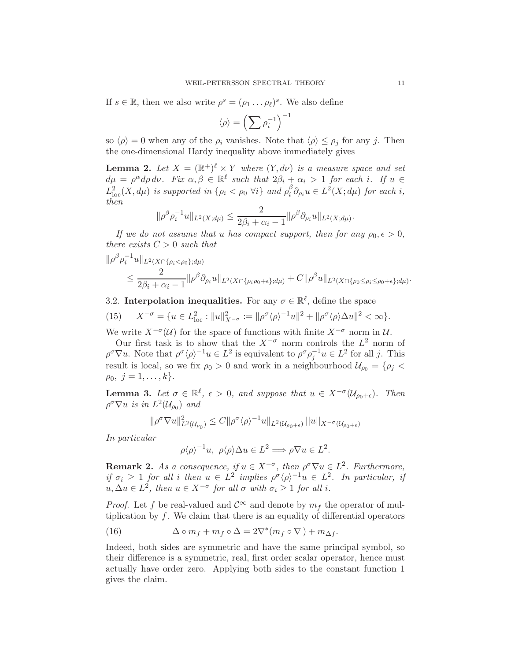If  $s \in \mathbb{R}$ , then we also write  $\rho^s = (\rho_1 \dots \rho_\ell)^s$ . We also define

$$
\langle \rho \rangle = \left( \sum \rho_i^{-1} \right)^{-1}
$$

so  $\langle \rho \rangle = 0$  when any of the  $\rho_i$  vanishes. Note that  $\langle \rho \rangle \leq \rho_j$  for any j. Then the one-dimensional Hardy inequality above immediately gives

**Lemma 2.** Let  $X = (\mathbb{R}^+)^{\ell} \times Y$  where  $(Y, d\nu)$  is a measure space and set  $d\mu = \rho^{\alpha} d\rho d\nu$ . Fix  $\alpha, \beta \in \mathbb{R}^{\ell}$  such that  $2\beta_i + \alpha_i > 1$  for each i. If  $u \in$  $L_{\text{loc}}^2(X, d\mu)$  is supported in  $\{\rho_i < \rho_0 \,\forall i\}$  and  $\rho_i^{\beta}$  $i^{\beta} \partial_{\rho_i} u \in L^2(X; d\mu)$  for each i, then

$$
\|\rho^{\beta}\rho_i^{-1}u\|_{L^2(X; d\mu)} \leq \frac{2}{2\beta_i + \alpha_i - 1} \|\rho^{\beta}\partial_{\rho_i}u\|_{L^2(X; d\mu)}.
$$

If we do not assume that u has compact support, then for any  $\rho_0, \epsilon > 0$ , there exists  $C > 0$  such that

$$
\|\rho^{\beta}\rho_i^{-1}u\|_{L^2(X\cap\{\rho_i<\rho_0\};d\mu)}\leq \frac{2}{2\beta_i+\alpha_i-1}\|\rho^{\beta}\partial_{\rho_i}u\|_{L^2(X\cap\{\rho_i\rho_0+\epsilon\};d\mu)}+C\|\rho^{\beta}u\|_{L^2(X\cap\{\rho_0\leq\rho_i\leq\rho_0+\epsilon\};d\mu)}.
$$

3.2. Interpolation inequalities. For any  $\sigma \in \mathbb{R}^{\ell}$ , define the space

(15) 
$$
X^{-\sigma} = \{ u \in L^2_{loc} : ||u||^2_{X^{-\sigma}} := ||\rho^{\sigma} \langle \rho \rangle^{-1} u||^2 + ||\rho^{\sigma} \langle \rho \rangle \Delta u||^2 < \infty \}.
$$

We write  $X^{-\sigma}(\mathcal{U})$  for the space of functions with finite  $X^{-\sigma}$  norm in  $\mathcal{U}$ .

Our first task is to show that the  $X^{-\sigma}$  norm controls the  $L^2$  norm of  $\rho^{\sigma} \nabla u$ . Note that  $\rho^{\sigma} \langle \rho \rangle^{-1} u \in L^2$  is equivalent to  $\rho^{\sigma} \rho_j^{-1} u \in L^2$  for all j. This result is local, so we fix  $\rho_0 > 0$  and work in a neighbourhood  $\mathcal{U}_{\rho_0} = \{\rho_j <$  $\rho_0, j = 1, \ldots, k$ .

<span id="page-10-1"></span>**Lemma 3.** Let  $\sigma \in \mathbb{R}^{\ell}$ ,  $\epsilon > 0$ , and suppose that  $u \in X^{-\sigma}(\mathcal{U}_{\rho_0+\epsilon})$ . Then  $\rho^{\sigma} \nabla u$  is in  $L^2(\mathcal{U}_{\rho_0})$  and

$$
\|\rho^{\sigma}\nabla u\|_{L^{2}(\mathcal{U}_{\rho_0})}^{2} \leq C\|\rho^{\sigma}\langle\rho\rangle^{-1}u\|_{L^{2}(\mathcal{U}_{\rho_0+\epsilon})}\|u\|_{X^{-\sigma}(\mathcal{U}_{\rho_0+\epsilon})}
$$

In particular

$$
\rho \langle \rho \rangle^{-1} u, \ \rho \langle \rho \rangle \Delta u \in L^2 \Longrightarrow \rho \nabla u \in L^2.
$$

**Remark 2.** As a consequence, if  $u \in X^{-\sigma}$ , then  $\rho^{\sigma} \nabla u \in L^2$ . Furthermore, if  $\sigma_i \geq 1$  for all i then  $u \in L^2$  implies  $\rho^{\sigma} \langle \rho \rangle^{-1} u \in L^2$ . In particular, if  $u, \Delta u \in L^2$ , then  $u \in X^{-\sigma}$  for all  $\sigma$  with  $\sigma_i \geq 1$  for all i.

*Proof.* Let f be real-valued and  $\mathcal{C}^{\infty}$  and denote by  $m_f$  the operator of multiplication by  $f$ . We claim that there is an equality of differential operators

<span id="page-10-0"></span>(16) 
$$
\Delta \circ m_f + m_f \circ \Delta = 2\nabla^*(m_f \circ \nabla) + m_{\Delta f}.
$$

Indeed, both sides are symmetric and have the same principal symbol, so their difference is a symmetric, real, first order scalar operator, hence must actually have order zero. Applying both sides to the constant function 1 gives the claim.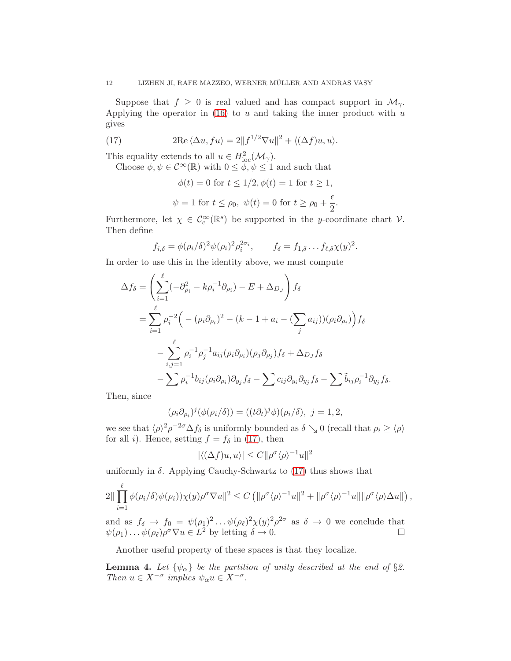Suppose that  $f \geq 0$  is real valued and has compact support in  $\mathcal{M}_{\gamma}$ . Applying the operator in  $(16)$  to u and taking the inner product with u gives

(17) 
$$
2\mathrm{Re}\,\langle \Delta u, fu \rangle = 2||f^{1/2}\nabla u||^2 + \langle (\Delta f)u, u \rangle.
$$

This equality extends to all  $u \in H^2_{loc}(\mathcal{M}_{\gamma}).$ 

Choose  $\phi, \psi \in C^{\infty}(\mathbb{R})$  with  $0 \leq \phi, \psi \leq 1$  and such that

<span id="page-11-0"></span>
$$
\phi(t) = 0 \text{ for } t \le 1/2, \phi(t) = 1 \text{ for } t \ge 1,
$$
  

$$
\psi = 1 \text{ for } t \le \rho_0, \ \psi(t) = 0 \text{ for } t \ge \rho_0 + \frac{\epsilon}{2}.
$$

Furthermore, let  $\chi \in \mathcal{C}_c^{\infty}(\mathbb{R}^s)$  be supported in the y-coordinate chart  $\mathcal{V}$ . Then define

$$
f_{i,\delta} = \phi(\rho_i/\delta)^2 \psi(\rho_i)^2 \rho_i^{2\sigma_i}, \qquad f_{\delta} = f_{1,\delta} \dots f_{\ell,\delta} \chi(y)^2.
$$

In order to use this in the identity above, we must compute

$$
\Delta f_{\delta} = \left( \sum_{i=1}^{\ell} (-\partial_{\rho_i}^2 - k \rho_i^{-1} \partial_{\rho_i}) - E + \Delta_{D_J} \right) f_{\delta}
$$
  
= 
$$
\sum_{i=1}^{\ell} \rho_i^{-2} \Big( - (\rho_i \partial_{\rho_i})^2 - (k - 1 + a_i - (\sum_j a_{ij}))(\rho_i \partial_{\rho_i}) \Big) f_{\delta}
$$
  
- 
$$
\sum_{i,j=1}^{\ell} \rho_i^{-1} \rho_j^{-1} a_{ij} (\rho_i \partial_{\rho_i}) (\rho_j \partial_{\rho_j}) f_{\delta} + \Delta_{D_J} f_{\delta}
$$
  
- 
$$
\sum \rho_i^{-1} b_{ij} (\rho_i \partial_{\rho_i}) \partial_{y_j} f_{\delta} - \sum c_{ij} \partial_{y_i} \partial_{y_j} f_{\delta} - \sum \tilde{b}_{ij} \rho_i^{-1} \partial_{y_j} f_{\delta}.
$$

Then, since

$$
(\rho_i \partial_{\rho_i})^j (\phi(\rho_i/\delta)) = ((t \partial_t)^j \phi)(\rho_i/\delta), \ j = 1, 2,
$$

we see that  $\langle \rho \rangle^2 \rho^{-2\sigma} \Delta f_{\delta}$  is uniformly bounded as  $\delta \searrow 0$  (recall that  $\rho_i \geq \langle \rho \rangle$ for all *i*). Hence, setting  $f = f_\delta$  in [\(17\)](#page-11-0), then

$$
|\langle (\Delta f)u, u \rangle| \le C ||\rho^{\sigma} \langle \rho \rangle^{-1} u||^2
$$

uniformly in  $\delta$ . Applying Cauchy-Schwartz to [\(17\)](#page-11-0) thus shows that

$$
2\|\prod_{i=1}^{\ell}\phi(\rho_i/\delta)\psi(\rho_i))\chi(y)\rho^{\sigma}\nabla u\|^2 \leq C\left(\|\rho^{\sigma}\langle\rho\rangle^{-1}u\|^2 + \|\rho^{\sigma}\langle\rho\rangle^{-1}u\|\|\rho^{\sigma}\langle\rho\rangle\Delta u\|\right),
$$

and as  $f_{\delta} \to f_0 = \psi(\rho_1)^2 \dots \psi(\rho_{\ell})^2 \chi(y)^2 \rho^{2\sigma}$  as  $\delta \to 0$  we conclude that  $\psi(\rho_1) \dots \psi(\rho_\ell) \rho^\sigma \nabla u \in L^2$  by letting  $\delta \to 0$ .

Another useful property of these spaces is that they localize.

**Lemma 4.** Let  $\{\psi_{\alpha}\}\$ be the partition of unity described at the end of §2. Then  $u \in X^{-\sigma}$  implies  $\psi_{\alpha} u \in X^{-\sigma}$ .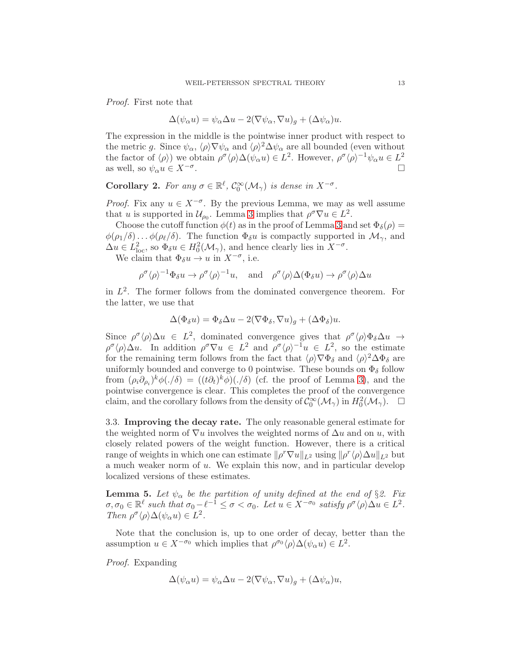Proof. First note that

$$
\Delta(\psi_{\alpha}u) = \psi_{\alpha}\Delta u - 2(\nabla\psi_{\alpha}, \nabla u)_g + (\Delta\psi_{\alpha})u.
$$

The expression in the middle is the pointwise inner product with respect to the metric g. Since  $\psi_{\alpha}$ ,  $\langle \rho \rangle \nabla \psi_{\alpha}$  and  $\langle \rho \rangle^2 \Delta \psi_{\alpha}$  are all bounded (even without the factor of  $\langle \rho \rangle$ ) we obtain  $\rho^{\sigma} \langle \rho \rangle \Delta(\psi_{\alpha} u) \in L^2$ . However,  $\rho^{\sigma} \langle \rho \rangle^{-1} \psi_{\alpha} u \in L^2$ as well, so  $\psi_{\alpha}u \in X^{-\sigma}$ . .

**Corollary 2.** For any  $\sigma \in \mathbb{R}^{\ell}$ ,  $\mathcal{C}_0^{\infty}(\mathcal{M}_{\gamma})$  is dense in  $X^{-\sigma}$ .

*Proof.* Fix any  $u \in X^{-\sigma}$ . By the previous Lemma, we may as well assume that u is supported in  $\mathcal{U}_{\rho_0}$ . Lemma [3](#page-10-1) implies that  $\rho^{\sigma} \nabla u \in L^2$ .

Choose the cutoff function  $\phi(t)$  as in the proof of Lemma [3](#page-10-1) and set  $\Phi_{\delta}(\rho)$  =  $\phi(\rho_1/\delta) \dots \phi(\rho_\ell/\delta)$ . The function  $\Phi_\delta u$  is compactly supported in  $\mathcal{M}_{\gamma}$ , and  $\Delta u \in L^2_{loc}$ , so  $\Phi_{\delta} u \in H_0^2(\mathcal{M}_{\gamma})$ , and hence clearly lies in  $X^{-\sigma}$ .

We claim that  $\Phi_{\delta} u \to u$  in  $X^{-\sigma}$ , i.e.

$$
\rho^{\sigma}\langle\rho\rangle^{-1}\Phi_{\delta}u \to \rho^{\sigma}\langle\rho\rangle^{-1}u, \text{ and } \rho^{\sigma}\langle\rho\rangle\Delta(\Phi_{\delta}u) \to \rho^{\sigma}\langle\rho\rangle\Delta u
$$

in  $L^2$ . The former follows from the dominated convergence theorem. For the latter, we use that

$$
\Delta(\Phi_{\delta} u) = \Phi_{\delta} \Delta u - 2(\nabla \Phi_{\delta}, \nabla u)_{g} + (\Delta \Phi_{\delta}) u.
$$

Since  $\rho^{\sigma} \langle \rho \rangle \Delta u \in L^2$ , dominated convergence gives that  $\rho^{\sigma} \langle \rho \rangle \Phi_{\delta} \Delta u \rightarrow$  $\rho^{\sigma} \langle \rho \rangle \Delta u$ . In addition  $\rho^{\sigma} \nabla u \in L^2$  and  $\rho^{\sigma} \langle \rho \rangle^{-1} u \in L^2$ , so the estimate for the remaining term follows from the fact that  $\langle \rho \rangle \nabla \Phi_{\delta}$  and  $\langle \rho \rangle^2 \Delta \Phi_{\delta}$  are uniformly bounded and converge to 0 pointwise. These bounds on  $\Phi_{\delta}$  follow from  $(\rho_i \partial_{\rho_i})^k \phi(\cdot/\delta) = ((t \partial_t)^k \phi)(\cdot/\delta)$  (cf. the proof of Lemma [3\)](#page-10-1), and the pointwise convergence is clear. This completes the proof of the convergence claim, and the corollary follows from the density of  $\mathcal{C}_0^{\infty}(\mathcal{M}_{\gamma})$  in  $H_0^2(\mathcal{M}_{\gamma})$ .  $\Box$ 

3.3. Improving the decay rate. The only reasonable general estimate for the weighted norm of  $\nabla u$  involves the weighted norms of  $\Delta u$  and on u, with closely related powers of the weight function. However, there is a critical range of weights in which one can estimate  $||\rho^r \nabla u||_{L^2}$  using  $||\rho^r \langle \rho \rangle \Delta u||_{L^2}$  but a much weaker norm of  $u$ . We explain this now, and in particular develop localized versions of these estimates.

<span id="page-12-0"></span>**Lemma 5.** Let  $\psi_{\alpha}$  be the partition of unity defined at the end of §2. Fix  $\sigma, \sigma_0 \in \mathbb{R}^{\ell}$  such that  $\sigma_0 - \ell^{-1} \leq \sigma < \sigma_0$ . Let  $u \in X^{-\sigma_0}$  satisfy  $\rho^{\sigma} \langle \rho \rangle \Delta u \in L^2$ . Then  $\rho^{\sigma} \langle \rho \rangle \Delta(\psi_{\alpha} u) \in L^2$ .

Note that the conclusion is, up to one order of decay, better than the assumption  $u \in X^{-\sigma_0}$  which implies that  $\rho^{\sigma_0} \langle \rho \rangle \Delta(\psi_\alpha u) \in L^2$ .

Proof. Expanding

$$
\Delta(\psi_{\alpha}u) = \psi_{\alpha}\Delta u - 2(\nabla\psi_{\alpha}, \nabla u)_g + (\Delta\psi_{\alpha})u,
$$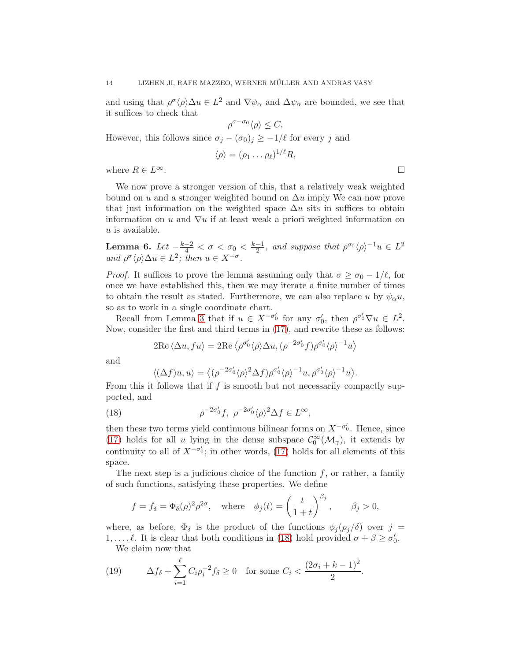and using that  $\rho^{\sigma} \langle \rho \rangle \Delta u \in L^2$  and  $\nabla \psi_{\alpha}$  and  $\Delta \psi_{\alpha}$  are bounded, we see that it suffices to check that

 $\rho^{\sigma-\sigma_0}\langle\rho\rangle \leq C.$ However, this follows since  $\sigma_j - (\sigma_0)_j \geq -1/\ell$  for every j and  $\langle \rho \rangle = (\rho_1 \dots \rho_\ell)^{1/\ell} R,$ 

where  $R \in L^{\infty}$ .

We now prove a stronger version of this, that a relatively weak weighted bound on u and a stronger weighted bound on  $\Delta u$  imply We can now prove that just information on the weighted space  $\Delta u$  sits in suffices to obtain information on u and  $\nabla u$  if at least weak a priori weighted information on  $u$  is available.

<span id="page-13-2"></span>Lemma 6. Let  $\frac{-k-2}{4} < \sigma < \sigma_0 < \frac{k-1}{2}$  $\frac{-1}{2}$ , and suppose that  $\rho^{\sigma_0} \langle \rho \rangle^{-1} u \in L^2$ and  $\rho^{\sigma} \langle \rho \rangle \Delta u \in L^2$ ; then  $u \in X^{-\sigma}$ .

*Proof.* It suffices to prove the lemma assuming only that  $\sigma \geq \sigma_0 - 1/\ell$ , for once we have established this, then we may iterate a finite number of times to obtain the result as stated. Furthermore, we can also replace u by  $\psi_{\alpha} u$ , so as to work in a single coordinate chart.

Recall from Lemma [3](#page-10-1) that if  $u \in X^{-\sigma_0'}$  for any  $\sigma_0'$ , then  $\rho^{\sigma_0'} \nabla u \in L^2$ . Now, consider the first and third terms in [\(17\)](#page-11-0), and rewrite these as follows:

$$
2\mathrm{Re}\langle \Delta u, fu \rangle = 2\mathrm{Re}\langle \rho^{\sigma_0'} \langle \rho \rangle \Delta u, (\rho^{-2\sigma_0'} f) \rho^{\sigma_0'} \langle \rho \rangle^{-1} u \rangle
$$

and

<span id="page-13-0"></span>
$$
\langle (\Delta f)u, u \rangle = \langle (\rho^{-2\sigma'_0} \langle \rho \rangle^2 \Delta f) \rho^{\sigma'_0} \langle \rho \rangle^{-1} u, \rho^{\sigma'_0} \langle \rho \rangle^{-1} u \rangle.
$$

From this it follows that if  $f$  is smooth but not necessarily compactly supported, and

(18) 
$$
\rho^{-2\sigma'_0} f, \ \rho^{-2\sigma'_0} \langle \rho \rangle^2 \Delta f \in L^{\infty},
$$

then these two terms yield continuous bilinear forms on  $X^{-\sigma'_0}$ . Hence, since [\(17\)](#page-11-0) holds for all u lying in the dense subspace  $\mathcal{C}_0^{\infty}(\mathcal{M}_{\gamma})$ , it extends by continuity to all of  $X^{-\sigma'_0}$ ; in other words, [\(17\)](#page-11-0) holds for all elements of this space.

The next step is a judicious choice of the function  $f$ , or rather, a family of such functions, satisfying these properties. We define

$$
f = f_{\delta} = \Phi_{\delta}(\rho)^2 \rho^{2\sigma}
$$
, where  $\phi_j(t) = \left(\frac{t}{1+t}\right)^{\beta_j}$ ,  $\beta_j > 0$ ,

where, as before,  $\Phi_{\delta}$  is the product of the functions  $\phi_i(\rho_i/\delta)$  over  $j =$ 1, ...,  $\ell$ . It is clear that both conditions in [\(18\)](#page-13-0) hold provided  $\sigma + \beta \ge \sigma'_0$ .

<span id="page-13-1"></span>We claim now that

(19) 
$$
\Delta f_{\delta} + \sum_{i=1}^{\ell} C_i \rho_i^{-2} f_{\delta} \ge 0 \text{ for some } C_i < \frac{(2\sigma_i + k - 1)^2}{2}.
$$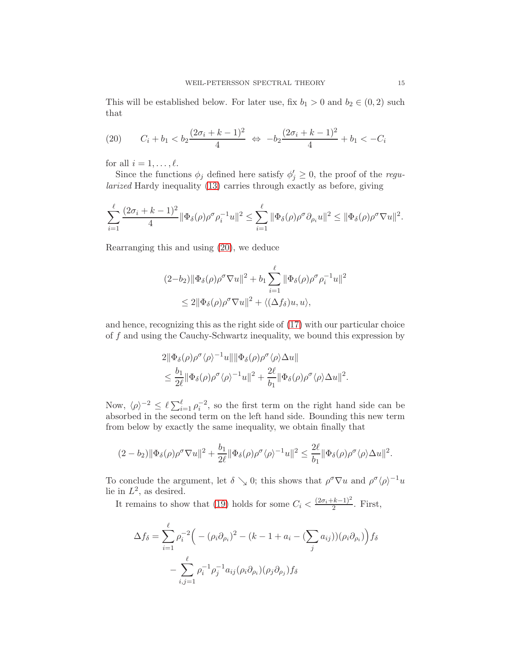This will be established below. For later use, fix  $b_1 > 0$  and  $b_2 \in (0, 2)$  such that

<span id="page-14-0"></span>(20) 
$$
C_i + b_1 < b_2 \frac{(2\sigma_i + k - 1)^2}{4} \Leftrightarrow -b_2 \frac{(2\sigma_i + k - 1)^2}{4} + b_1 < -C_i
$$

for all  $i = 1, \ldots, \ell$ .

Since the functions  $\phi_j$  defined here satisfy  $\phi'_j \geq 0$ , the proof of the *regu*larized Hardy inequality [\(13\)](#page-9-0) carries through exactly as before, giving

$$
\sum_{i=1}^{\ell} \frac{(2\sigma_i + k - 1)^2}{4} \|\Phi_{\delta}(\rho)\rho^{\sigma}\rho_i^{-1}u\|^2 \leq \sum_{i=1}^{\ell} \|\Phi_{\delta}(\rho)\rho^{\sigma}\partial_{\rho_i}u\|^2 \leq \|\Phi_{\delta}(\rho)\rho^{\sigma}\nabla u\|^2.
$$

Rearranging this and using [\(20\)](#page-14-0), we deduce

$$
(2-b_2)\|\Phi_{\delta}(\rho)\rho^{\sigma}\nabla u\|^{2} + b_1 \sum_{i=1}^{\ell} \|\Phi_{\delta}(\rho)\rho^{\sigma}\rho_{i}^{-1}u\|^{2}
$$
  

$$
\leq 2\|\Phi_{\delta}(\rho)\rho^{\sigma}\nabla u\|^{2} + \langle (\Delta f_{\delta})u, u \rangle,
$$

and hence, recognizing this as the right side of [\(17\)](#page-11-0) with our particular choice of f and using the Cauchy-Schwartz inequality, we bound this expression by

$$
2\|\Phi_{\delta}(\rho)\rho^{\sigma}\langle\rho\rangle^{-1}u\|\|\Phi_{\delta}(\rho)\rho^{\sigma}\langle\rho\rangle\Delta u\|
$$
  

$$
\leq \frac{b_1}{2\ell}\|\Phi_{\delta}(\rho)\rho^{\sigma}\langle\rho\rangle^{-1}u\|^{2} + \frac{2\ell}{b_1}\|\Phi_{\delta}(\rho)\rho^{\sigma}\langle\rho\rangle\Delta u\|^{2}.
$$

Now,  $\langle \rho \rangle^{-2} \leq \ell \sum_{i=1}^{\ell} \rho_i^{-2}$ , so the first term on the right hand side can be absorbed in the second term on the left hand side. Bounding this new term from below by exactly the same inequality, we obtain finally that

$$
(2-b_2)\|\Phi_{\delta}(\rho)\rho^{\sigma}\nabla u\|^{2}+\frac{b_1}{2\ell}\|\Phi_{\delta}(\rho)\rho^{\sigma}\langle\rho\rangle^{-1}u\|^{2}\leq \frac{2\ell}{b_1}\|\Phi_{\delta}(\rho)\rho^{\sigma}\langle\rho\rangle\Delta u\|^{2}.
$$

To conclude the argument, let  $\delta \searrow 0$ ; this shows that  $\rho^{\sigma} \nabla u$  and  $\rho^{\sigma} \langle \rho \rangle^{-1} u$ lie in  $L^2$ , as desired.

It remains to show that [\(19\)](#page-13-1) holds for some  $C_i < \frac{(2\sigma_i + k - 1)^2}{2}$  $\frac{2^{k-1}}{2}$ . First,

$$
\Delta f_{\delta} = \sum_{i=1}^{\ell} \rho_i^{-2} \Big( - (\rho_i \partial_{\rho_i})^2 - (k - 1 + a_i - (\sum_j a_{ij})) (\rho_i \partial_{\rho_i}) \Big) f_{\delta}
$$

$$
- \sum_{i,j=1}^{\ell} \rho_i^{-1} \rho_j^{-1} a_{ij} (\rho_i \partial_{\rho_i}) (\rho_j \partial_{\rho_j}) f_{\delta}
$$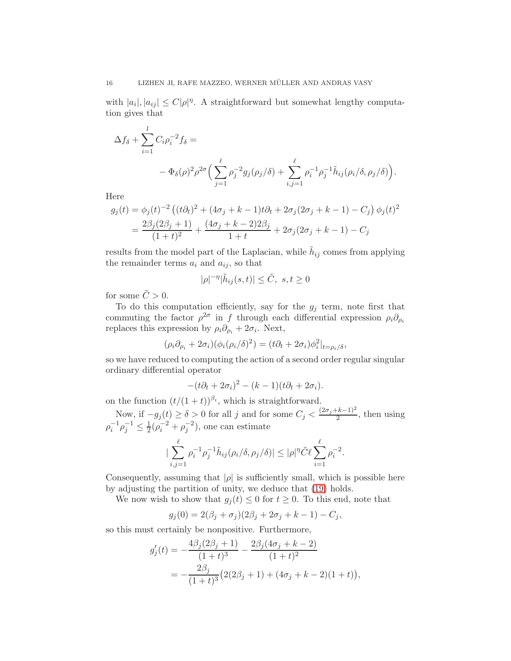with  $|a_i|, |a_{ij}| \leq C|\rho|^{\eta}$ . A straightforward but somewhat lengthy computation gives that

$$
\Delta f_{\delta} + \sum_{i=1}^{l} C_{i} \rho_{i}^{-2} f_{\delta} =
$$
  
-  $\Phi_{\delta}(\rho)^{2} \rho^{2\sigma} \Big( \sum_{j=1}^{\ell} \rho_{j}^{-2} g_{j}(\rho_{j}/\delta) + \sum_{i,j=1}^{\ell} \rho_{i}^{-1} \rho_{j}^{-1} \tilde{h}_{ij}(\rho_{i}/\delta, \rho_{j}/\delta) \Big).$ 

Here

$$
g_j(t) = \phi_j(t)^{-2} \left( (t\partial_t)^2 + (4\sigma_j + k - 1)t\partial_t + 2\sigma_j(2\sigma_j + k - 1) - C_j \right) \phi_j(t)^2
$$
  
= 
$$
\frac{2\beta_j(2\beta_j + 1)}{(1+t)^2} + \frac{(4\sigma_j + k - 2)2\beta_j}{1+t} + 2\sigma_j(2\sigma_j + k - 1) - C_j
$$

results from the model part of the Laplacian, while  $h_{ij}$  comes from applying the remainder terms  $a_i$  and  $a_{ij}$ , so that

$$
|\rho|^{-\eta}|\tilde{h}_{ij}(s,t)|\leq \tilde{C},\ s,t\geq 0
$$

for some  $\tilde{C} > 0$ .

To do this computation efficiently, say for the  $g_j$  term, note first that commuting the factor  $\rho^{2\sigma}$  in f through each differential expression  $\rho_i \partial_{\rho_i}$ replaces this expression by  $\rho_i \partial_{\rho_i} + 2\sigma_i$ . Next,

$$
(\rho_i \partial_{\rho_i} + 2\sigma_i)(\phi_i(\rho_i/\delta)^2) = (t\partial_t + 2\sigma_i)\phi_i^2|_{t = \rho_i/\delta},
$$

so we have reduced to computing the action of a second order regular singular ordinary differential operator

$$
-(t\partial_t + 2\sigma_i)^2 - (k-1)(t\partial_t + 2\sigma_i).
$$

on the function  $(t/(1+t))^{\beta_i}$ , which is straightforward.

Now, if  $-g_j(t) \ge \delta > 0$  for all j and for some  $C_j < \frac{(2\sigma_j + k - 1)^2}{2}$  $\frac{2^{-(k-1)}}{2}$ , then using  $\rho_i^{-1} \rho_j^{-1} \leq \frac{1}{2}$  $\frac{1}{2}(\rho_i^{-2} + \rho_j^{-2}),$  one can estimate

$$
\left|\sum_{i,j=1}^{\ell} \rho_i^{-1} \rho_j^{-1} \tilde{h}_{ij}(\rho_i/\delta, \rho_j/\delta)\right| \leq |\rho|^{\eta} \tilde{C} \ell \sum_{i=1}^{\ell} \rho_i^{-2}.
$$

Consequently, assuming that  $|\rho|$  is sufficiently small, which is possible here by adjusting the partition of unity, we deduce that [\(19\)](#page-13-1) holds.

We now wish to show that  $g_j(t) \leq 0$  for  $t \geq 0$ . To this end, note that

$$
g_j(0) = 2(\beta_j + \sigma_j)(2\beta_j + 2\sigma_j + k - 1) - C_j,
$$

so this must certainly be nonpositive. Furthermore,

$$
g'_j(t) = -\frac{4\beta_j(2\beta_j+1)}{(1+t)^3} - \frac{2\beta_j(4\sigma_j+k-2)}{(1+t)^2}
$$
  
= 
$$
-\frac{2\beta_j}{(1+t)^3}(2(2\beta_j+1)+(4\sigma_j+k-2)(1+t)),
$$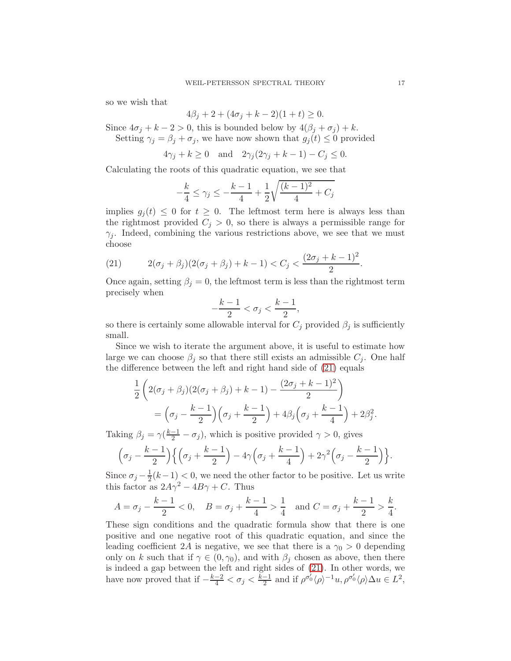so we wish that

$$
4\beta_j + 2 + (4\sigma_j + k - 2)(1 + t) \ge 0.
$$

Since  $4\sigma_j + k - 2 > 0$ , this is bounded below by  $4(\beta_j + \sigma_j) + k$ . Setting  $\gamma_i = \beta_i + \sigma_i$ , we have now shown that  $g_i(t) \leq 0$  provided

$$
4\gamma_j + k \ge 0 \quad \text{and} \quad 2\gamma_j(2\gamma_j + k - 1) - C_j \le 0.
$$

Calculating the roots of this quadratic equation, we see that

$$
-\frac{k}{4} \le \gamma_j \le -\frac{k-1}{4} + \frac{1}{2}\sqrt{\frac{(k-1)^2}{4} + C_j}
$$

implies  $g_i(t) \leq 0$  for  $t \geq 0$ . The leftmost term here is always less than the rightmost provided  $C_j > 0$ , so there is always a permissible range for  $\gamma_j$ . Indeed, combining the various restrictions above, we see that we must choose

<span id="page-16-0"></span>(21) 
$$
2(\sigma_j + \beta_j)(2(\sigma_j + \beta_j) + k - 1) < C_j < \frac{(2\sigma_j + k - 1)^2}{2}.
$$

Once again, setting  $\beta_j = 0$ , the leftmost term is less than the rightmost term precisely when

$$
-\frac{k-1}{2} < \sigma_j < \frac{k-1}{2},
$$

so there is certainly some allowable interval for  $C_j$  provided  $\beta_j$  is sufficiently small.

Since we wish to iterate the argument above, it is useful to estimate how large we can choose  $\beta_i$  so that there still exists an admissible  $C_i$ . One half the difference between the left and right hand side of [\(21\)](#page-16-0) equals

$$
\frac{1}{2} \left( 2(\sigma_j + \beta_j)(2(\sigma_j + \beta_j) + k - 1) - \frac{(2\sigma_j + k - 1)^2}{2} \right)
$$
  
=  $\left( \sigma_j - \frac{k - 1}{2} \right) \left( \sigma_j + \frac{k - 1}{2} \right) + 4\beta_j \left( \sigma_j + \frac{k - 1}{4} \right) + 2\beta_j^2.$ 

Taking  $\beta_j = \gamma(\frac{k-1}{2} - \sigma_j)$ , which is positive provided  $\gamma > 0$ , gives

$$
\left(\sigma_j-\frac{k-1}{2}\right)\left\{\left(\sigma_j+\frac{k-1}{2}\right)-4\gamma\left(\sigma_j+\frac{k-1}{4}\right)+2\gamma^2\left(\sigma_j-\frac{k-1}{2}\right)\right\}.
$$

Since  $\sigma_j - \frac{1}{2}$  $\frac{1}{2}(k-1) < 0$ , we need the other factor to be positive. Let us write this factor as  $2A\gamma^2 - 4B\gamma + C$ . Thus

$$
A = \sigma_j - \frac{k-1}{2} < 0
$$
,  $B = \sigma_j + \frac{k-1}{4} > \frac{1}{4}$  and  $C = \sigma_j + \frac{k-1}{2} > \frac{k}{4}$ .

These sign conditions and the quadratic formula show that there is one positive and one negative root of this quadratic equation, and since the leading coefficient 2A is negative, we see that there is a  $\gamma_0 > 0$  depending only on k such that if  $\gamma \in (0, \gamma_0)$ , and with  $\beta_i$  chosen as above, then there is indeed a gap between the left and right sides of [\(21\)](#page-16-0). In other words, we have now proved that if  $-\frac{k-2}{4} < \sigma_j < \frac{k-1}{2}$  $\frac{-1}{2}$  and if  $\rho^{\sigma_0'}\langle \rho \rangle^{-1}u, \rho^{\sigma_0'}\langle \rho \rangle \Delta u \in L^2$ ,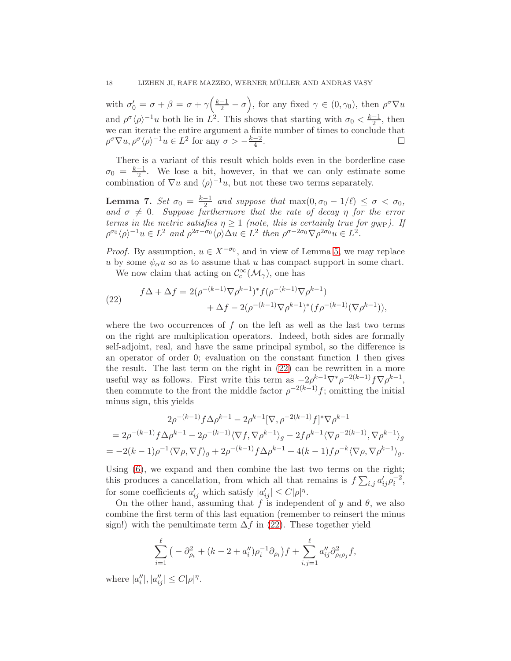with  $\sigma'_0 = \sigma + \beta = \sigma + \gamma \left( \frac{k-1}{2} - \sigma \right)$ , for any fixed  $\gamma \in (0, \gamma_0)$ , then  $\rho^{\sigma} \nabla u$ and  $\rho^{\sigma} \langle \rho \rangle^{-1} u$  both lie in  $L^2$ . This shows that starting with  $\sigma_0 < \frac{k-1}{2}$ , then  $\omega_0 \geq \frac{1}{2}$ , then we can iterate the entire argument a finite number of times to conclude that  $\rho^{\sigma} \nabla u, \rho^{\sigma} \langle \rho \rangle^{-1} u \in L^2$  for any  $\sigma > -\frac{k-2}{4}$  $\frac{-2}{4}$ .

There is a variant of this result which holds even in the borderline case  $\sigma_0$  =  $\frac{k-1}{2}$  $\frac{-1}{2}$ . We lose a bit, however, in that we can only estimate some combination of  $\nabla u$  and  $\langle \rho \rangle^{-1} u$ , but not these two terms separately.

<span id="page-17-1"></span>**Lemma 7.** Set  $\sigma_0 = \frac{k-1}{2}$  $\frac{-1}{2}$  and suppose that  $\max(0, \sigma_0 - 1/\ell) \leq \sigma < \sigma_0$ , and  $\sigma \neq 0$ . Suppose furthermore that the rate of decay  $\eta$  for the error terms in the metric satisfies  $\eta \geq 1$  (note, this is certainly true for g<sub>WP</sub>). If  $\rho^{\sigma_0} \langle \rho \rangle^{-1} u \in L^2$  and  $\rho^{2\sigma - \sigma_0} \langle \rho \rangle \Delta u \in L^2$  then  $\rho^{\sigma - 2\sigma_0} \nabla \rho^{2\sigma_0} u \in L^2$ .

*Proof.* By assumption,  $u \in X^{-\sigma_0}$ , and in view of Lemma [5,](#page-12-0) we may replace u by some  $\psi_{\alpha} u$  so as to assume that u has compact support in some chart.

We now claim that acting on  $\mathcal{C}_c^{\infty}(\mathcal{M}_{\gamma})$ , one has

<span id="page-17-0"></span>(22) 
$$
f\Delta + \Delta f = 2(\rho^{-(k-1)}\nabla \rho^{k-1})^* f(\rho^{-(k-1)}\nabla \rho^{k-1}) + \Delta f - 2(\rho^{-(k-1)}\nabla \rho^{k-1})^* (f\rho^{-(k-1)}(\nabla \rho^{k-1})),
$$

where the two occurrences of  $f$  on the left as well as the last two terms on the right are multiplication operators. Indeed, both sides are formally self-adjoint, real, and have the same principal symbol, so the difference is an operator of order 0; evaluation on the constant function 1 then gives the result. The last term on the right in [\(22\)](#page-17-0) can be rewritten in a more useful way as follows. First write this term as  $-2\rho^{k-1}\nabla^*\rho^{-2(k-1)}f\nabla\rho^{k-1}$ , then commute to the front the middle factor  $\rho^{-2(k-1)}f$ ; omitting the initial minus sign, this yields

$$
2\rho^{-(k-1)} f \Delta \rho^{k-1} - 2\rho^{k-1} [\nabla, \rho^{-2(k-1)} f]^* \nabla \rho^{k-1}
$$
  
=  $2\rho^{-(k-1)} f \Delta \rho^{k-1} - 2\rho^{-(k-1)} \langle \nabla f, \nabla \rho^{k-1} \rangle_g - 2f \rho^{k-1} \langle \nabla \rho^{-2(k-1)}, \nabla \rho^{k-1} \rangle_g$   
=  $-2(k-1)\rho^{-1} \langle \nabla \rho, \nabla f \rangle_g + 2\rho^{-(k-1)} f \Delta \rho^{k-1} + 4(k-1)f \rho^{-k} \langle \nabla \rho, \nabla \rho^{k-1} \rangle_g.$ 

Using [\(6\)](#page-6-0), we expand and then combine the last two terms on the right; this produces a cancellation, from which all that remains is  $f\sum_{i,j} a'_{ij} \rho_i^{-2}$ , for some coefficients  $a'_{ij}$  which satisfy  $|a'_{ij}| \leq C|\rho|^{\eta}$ .

On the other hand, assuming that f is independent of y and  $\theta$ , we also combine the first term of this last equation (remember to reinsert the minus sign!) with the penultimate term  $\Delta f$  in [\(22\)](#page-17-0). These together yield

$$
\sum_{i=1}^{\ell} \left( -\partial_{\rho_i}^2 + (k - 2 + a_i'')\rho_i^{-1}\partial_{\rho_i} \right) f + \sum_{i,j=1}^{\ell} a_{ij}'' \partial_{\rho_i \rho_j}^2 f,
$$

where  $|a''_i|, |a''_{ij}| \leq C |\rho|^{\eta}$ .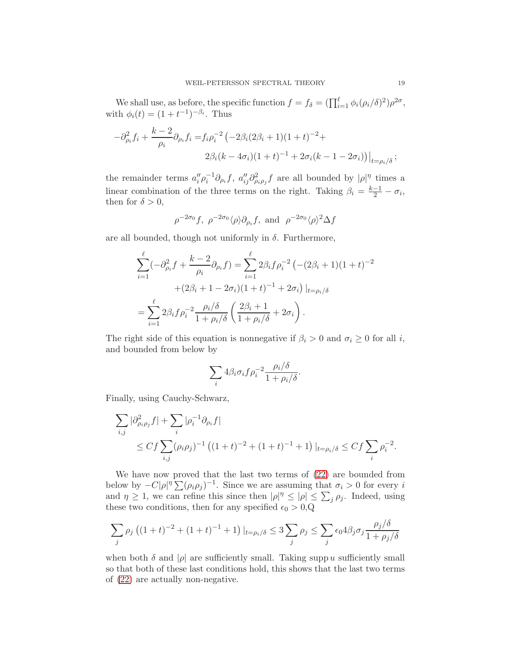We shall use, as before, the specific function  $f = f_{\delta} = (\prod_{i=1}^{\ell} \phi_i (\rho_i/\delta)^2) \rho^{2\sigma}$ , with  $\phi_i(t) = (1 + t^{-1})^{-\beta_i}$ . Thus

$$
-\partial_{\rho_i}^2 f_i + \frac{k-2}{\rho_i} \partial_{\rho_i} f_i = f_i \rho_i^{-2} \left( -2\beta_i (2\beta_i + 1)(1+t)^{-2} + 2\beta_i (k - 4\sigma_i)(1+t)^{-1} + 2\sigma_i (k - 1 - 2\sigma_i) \right) \Big|_{t = \rho_i/\delta};
$$

the remainder terms  $a''_i \rho_i^{-1} \partial_{\rho_i} f$ ,  $a''_{ij} \partial^2_{\rho_i \rho_j} f$  are all bounded by  $|\rho|^{\eta}$  times a linear combination of the three terms on the right. Taking  $\beta_i = \frac{k-1}{2} - \sigma_i$ , then for  $\delta > 0$ ,

$$
\rho^{-2\sigma_0}f
$$
,  $\rho^{-2\sigma_0}\langle \rho \rangle \partial_{\rho_i}f$ , and  $\rho^{-2\sigma_0}\langle \rho \rangle^2 \Delta f$ 

are all bounded, though not uniformly in  $\delta$ . Furthermore,

$$
\sum_{i=1}^{\ell} (-\partial_{\rho_i}^2 f + \frac{k-2}{\rho_i} \partial_{\rho_i} f) = \sum_{i=1}^{\ell} 2\beta_i f \rho_i^{-2} \left( -(2\beta_i + 1)(1+t)^{-2} + (2\beta_i + 1 - 2\sigma_i)(1+t)^{-1} + 2\sigma_i \right) |_{t=\rho_i/\delta}
$$

$$
= \sum_{i=1}^{\ell} 2\beta_i f \rho_i^{-2} \frac{\rho_i/\delta}{1 + \rho_i/\delta} \left( \frac{2\beta_i + 1}{1 + \rho_i/\delta} + 2\sigma_i \right).
$$

The right side of this equation is nonnegative if  $\beta_i > 0$  and  $\sigma_i \geq 0$  for all i, and bounded from below by

$$
\sum_{i} 4\beta_i \sigma_i f \rho_i^{-2} \frac{\rho_i/\delta}{1 + \rho_i/\delta}.
$$

Finally, using Cauchy-Schwarz,

$$
\sum_{i,j} |\partial^2_{\rho_i \rho_j} f| + \sum_i |\rho_i^{-1} \partial_{\rho_i} f|
$$
  
\n
$$
\leq C f \sum_{i,j} (\rho_i \rho_j)^{-1} ((1+t)^{-2} + (1+t)^{-1} + 1)|_{t=\rho_i/\delta} \leq C f \sum_i \rho_i^{-2}.
$$

We have now proved that the last two terms of [\(22\)](#page-17-0) are bounded from below by  $-C|\rho|^{\eta} \sum_{i} (\rho_i \rho_j)^{-1}$ . Since we are assuming that  $\sigma_i > 0$  for every i and  $\eta \geq 1$ , we can refine this since then  $|\rho|^{\eta} \leq |\rho| \leq \sum_{j} \rho_j$ . Indeed, using these two conditions, then for any specified  $\epsilon_0 > 0, Q$ 

$$
\sum_j \rho_j \left( (1+t)^{-2} + (1+t)^{-1} + 1 \right) \vert_{t=\rho_i/\delta} \leq 3 \sum_j \rho_j \leq \sum_j \epsilon_0 4 \beta_j \sigma_j \frac{\rho_j/\delta}{1+\rho_j/\delta}
$$

when both  $\delta$  and  $|\rho|$  are sufficiently small. Taking supp u sufficiently small so that both of these last conditions hold, this shows that the last two terms of [\(22\)](#page-17-0) are actually non-negative.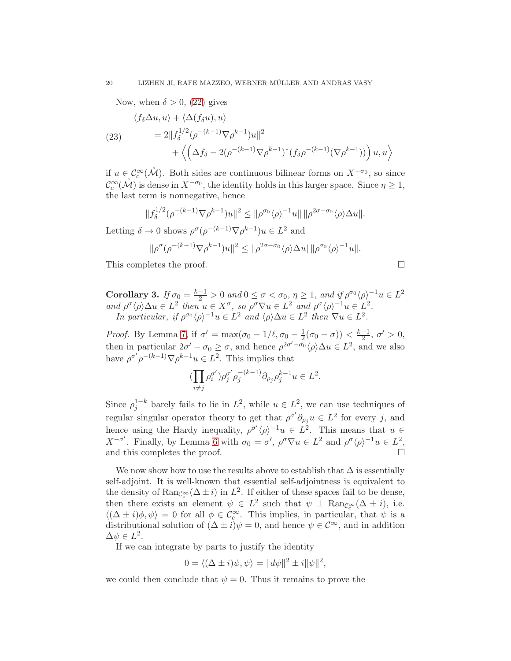Now, when  $\delta > 0$ , [\(22\)](#page-17-0) gives

(23) 
$$
\langle f_{\delta} \Delta u, u \rangle + \langle \Delta (f_{\delta} u), u \rangle \n= 2||f_{\delta}^{1/2} (\rho^{-(k-1)} \nabla \rho^{k-1}) u||^2 \n+ \langle \left( \Delta f_{\delta} - 2(\rho^{-(k-1)} \nabla \rho^{k-1})^* (f_{\delta} \rho^{-(k-1)} (\nabla \rho^{k-1})) \right) u, u \rangle
$$

if  $u \in \mathcal{C}_c^{\infty}(\mathcal{M})$ . Both sides are continuous bilinear forms on  $X^{-\sigma_0}$ , so since  $\mathcal{C}_c^{\infty}(\mathcal{M})$  is dense in  $X^{-\sigma_0}$ , the identity holds in this larger space. Since  $\eta \geq 1$ , the last term is nonnegative, hence

$$
||f_{\delta}^{1/2}(\rho^{-(k-1)} \nabla \rho^{k-1})u||^{2} \le ||\rho^{\sigma_0} \langle \rho \rangle^{-1} u|| \, ||\rho^{2\sigma-\sigma_0} \langle \rho \rangle \Delta u||.
$$

Letting  $\delta \to 0$  shows  $\rho^{\sigma}(\rho^{-(k-1)} \nabla \rho^{k-1}) u \in L^2$  and

$$
\|\rho^{\sigma}(\rho^{-(k-1)}\nabla\rho^{k-1})u\|^2 \le \|\rho^{2\sigma-\sigma_0}\langle\rho\rangle\Delta u\|\|\rho^{\sigma_0}\langle\rho\rangle^{-1}u\|.
$$

This completes the proof.

<span id="page-19-0"></span>**Corollary 3.** If 
$$
\sigma_0 = \frac{k-1}{2} > 0
$$
 and  $0 \le \sigma < \sigma_0$ ,  $\eta \ge 1$ , and if  $\rho^{\sigma_0} \langle \rho \rangle^{-1} u \in L^2$   
and  $\rho^{\sigma} \langle \rho \rangle \Delta u \in L^2$  then  $u \in X^{\sigma}$ , so  $\rho^{\sigma} \nabla u \in L^2$  and  $\rho^{\sigma} \langle \rho \rangle^{-1} u \in L^2$ .  
In particular, if  $\rho^{\sigma_0} \langle \rho \rangle^{-1} u \in L^2$  and  $\langle \rho \rangle \Delta u \in L^2$  then  $\nabla u \in L^2$ .

Proof. By Lemma [7,](#page-17-1) if  $\sigma' = \max(\sigma_0 - 1/\ell, \sigma_0 - \frac{1}{2}(\sigma_0 - \sigma)) < \frac{k-1}{2}, \sigma' > 0$ , then in particular  $2\sigma' - \sigma_0 \ge \sigma$ , and hence  $\rho^{2\sigma' - \sigma_0} \langle \rho \rangle \Delta u \in L^2$ , and we also have  $\rho^{\sigma'} \rho^{-(k-1)} \nabla \rho^{k-1} u \in L^2$ . This implies that

$$
(\prod_{i\neq j}\rho_i^{\sigma'})\rho_j^{\sigma'}\rho_j^{-(k-1)}\partial_{\rho_j}\rho_j^{k-1}u\in L^2.
$$

Since  $\rho_j^{1-k}$  barely fails to lie in  $L^2$ , while  $u \in L^2$ , we can use techniques of regular singular operator theory to get that  $\rho^{\sigma'} \partial_{\rho_j} u \in L^2$  for every j, and hence using the Hardy inequality,  $\rho^{\sigma'} \langle \rho \rangle^{-1} u \in L^2$ . This means that  $u \in$  $X^{-\sigma'}$ . Finally, by Lemma [6](#page-13-2) with  $\sigma_0 = \sigma'$ ,  $\rho^{\sigma} \nabla u \in L^2$  and  $\rho^{\sigma} \langle \rho \rangle^{-1} u \in L^2$ . and this completes the proof.

We now show how to use the results above to establish that  $\Delta$  is essentially self-adjoint. It is well-known that essential self-adjointness is equivalent to the density of  $\text{Ran}_{\mathcal{C}_c^{\infty}}(\Delta \pm i)$  in  $L^2$ . If either of these spaces fail to be dense, then there exists an element  $\psi \in L^2$  such that  $\psi \perp \text{Ran}_{\mathcal{C}_c^{\infty}}(\Delta \pm i)$ , i.e.  $\langle (\Delta \pm i)\phi, \psi \rangle = 0$  for all  $\phi \in C_c^{\infty}$ . This implies, in particular, that  $\psi$  is a distributional solution of  $(\Delta \pm i)\psi = 0$ , and hence  $\psi \in \mathcal{C}^{\infty}$ , and in addition  $\Delta \psi \in L^2$ .

If we can integrate by parts to justify the identity

$$
0 = \langle (\Delta \pm i)\psi, \psi \rangle = ||d\psi||^2 \pm i||\psi||^2,
$$

we could then conclude that  $\psi = 0$ . Thus it remains to prove the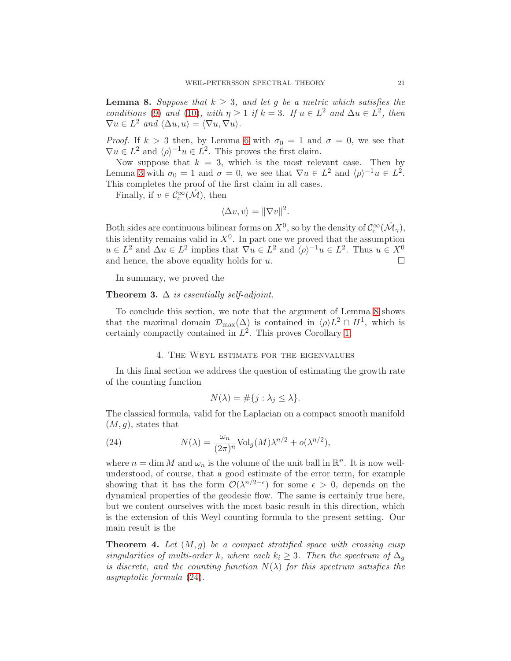<span id="page-20-0"></span>**Lemma 8.** Suppose that  $k \geq 3$ , and let g be a metric which satisfies the conditions [\(9\)](#page-6-2) and [\(10\)](#page-7-0), with  $\eta \geq 1$  if  $k = 3$ . If  $u \in L^2$  and  $\Delta u \in L^2$ , then  $\nabla u \in L^2$  and  $\langle \Delta u, u \rangle = \langle \nabla u, \nabla u \rangle.$ 

*Proof.* If  $k > 3$  then, by Lemma [6](#page-13-2) with  $\sigma_0 = 1$  and  $\sigma = 0$ , we see that  $\nabla u \in L^2$  and  $\langle \rho \rangle^{-1} u \in L^2$ . This proves the first claim.

Now suppose that  $k = 3$ , which is the most relevant case. Then by Lemma [3](#page-19-0) with  $\sigma_0 = 1$  and  $\sigma = 0$ , we see that  $\nabla u \in L^2$  and  $\langle \rho \rangle^{-1} u \in L^2$ . This completes the proof of the first claim in all cases.

Finally, if  $v \in C_c^{\infty}(\mathring{M})$ , then

$$
\langle \Delta v, v \rangle = ||\nabla v||^2.
$$

Both sides are continuous bilinear forms on  $X^0$ , so by the density of  $\mathcal{C}_c^{\infty}(\mathcal{M}_{\gamma})$ , this identity remains valid in  $X^0$ . In part one we proved that the assumption  $u \in L^2$  and  $\Delta u \in L^2$  implies that  $\nabla u \in L^2$  and  $\langle \rho \rangle^{-1} u \in L^2$ . Thus  $u \in X^0$ and hence, the above equality holds for  $u$ .

In summary, we proved the

**Theorem 3.**  $\Delta$  is essentially self-adjoint.

To conclude this section, we note that the argument of Lemma [8](#page-20-0) shows that the maximal domain  $\mathcal{D}_{\text{max}}(\Delta)$  is contained in  $\langle \rho \rangle L^2 \cap H^1$ , which is certainly compactly contained in  $L^2$ . This proves Corollary [1.](#page-8-0)

# 4. The Weyl estimate for the eigenvalues

In this final section we address the question of estimating the growth rate of the counting function

<span id="page-20-1"></span>
$$
N(\lambda) = \#\{j : \lambda_j \le \lambda\}.
$$

The classical formula, valid for the Laplacian on a compact smooth manifold  $(M, q)$ , states that

(24) 
$$
N(\lambda) = \frac{\omega_n}{(2\pi)^n} \text{Vol}_g(M) \lambda^{n/2} + o(\lambda^{n/2}),
$$

where  $n = \dim M$  and  $\omega_n$  is the volume of the unit ball in  $\mathbb{R}^n$ . It is now wellunderstood, of course, that a good estimate of the error term, for example showing that it has the form  $\mathcal{O}(\lambda^{n/2-\epsilon})$  for some  $\epsilon > 0$ , depends on the dynamical properties of the geodesic flow. The same is certainly true here, but we content ourselves with the most basic result in this direction, which is the extension of this Weyl counting formula to the present setting. Our main result is the

**Theorem 4.** Let  $(M, g)$  be a compact stratified space with crossing cusp singularities of multi-order k, where each  $k_i \geq 3$ . Then the spectrum of  $\Delta_q$ is discrete, and the counting function  $N(\lambda)$  for this spectrum satisfies the asymptotic formula [\(24\)](#page-20-1).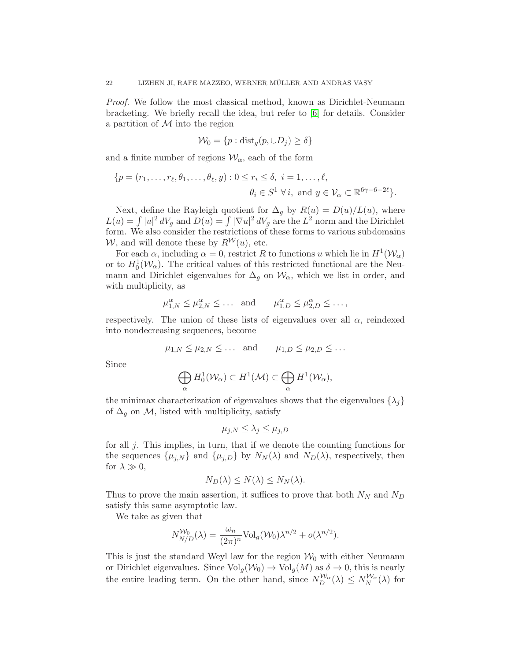Proof. We follow the most classical method, known as Dirichlet-Neumann bracketing. We briefly recall the idea, but refer to [\[6\]](#page-24-5) for details. Consider a partition of  $M$  into the region

$$
\mathcal{W}_0 = \{p : \text{dist}_g(p, \cup D_j) \ge \delta\}
$$

and a finite number of regions  $\mathcal{W}_{\alpha}$ , each of the form

$$
\{p = (r_1, \ldots, r_\ell, \theta_1, \ldots, \theta_\ell, y) : 0 \le r_i \le \delta, \ i = 1, \ldots, \ell, \theta_i \in S^1 \ \forall \ i, \text{ and } y \in \mathcal{V}_\alpha \subset \mathbb{R}^{6\gamma - 6 - 2\ell}\}.
$$

Next, define the Rayleigh quotient for  $\Delta_g$  by  $R(u) = D(u)/L(u)$ , where  $L(u) = \int |u|^2 dV_g$  and  $D(u) = \int |\nabla u|^2 dV_g$  are the  $L^2$  norm and the Dirichlet form. We also consider the restrictions of these forms to various subdomains W, and will denote these by  $R^{\mathcal{W}}(u)$ , etc.

For each  $\alpha$ , including  $\alpha = 0$ , restrict R to functions u which lie in  $H^1(\mathcal{W}_\alpha)$ or to  $H_0^1(\mathcal{W}_\alpha)$ . The critical values of this restricted functional are the Neumann and Dirichlet eigenvalues for  $\Delta_g$  on  $\mathcal{W}_{\alpha}$ , which we list in order, and with multiplicity, as

$$
\mu_{1,N}^{\alpha} \le \mu_{2,N}^{\alpha} \le \dots
$$
 and  $\mu_{1,D}^{\alpha} \le \mu_{2,D}^{\alpha} \le \dots$ ,

respectively. The union of these lists of eigenvalues over all  $\alpha$ , reindexed into nondecreasing sequences, become

$$
\mu_{1,N} \leq \mu_{2,N} \leq \dots \quad \text{and} \qquad \mu_{1,D} \leq \mu_{2,D} \leq \dots
$$

Since

$$
\bigoplus_{\alpha} H_0^1(\mathcal{W}_\alpha) \subset H^1(\mathcal{M}) \subset \bigoplus_{\alpha} H^1(\mathcal{W}_\alpha),
$$

the minimax characterization of eigenvalues shows that the eigenvalues  $\{\lambda_j\}$ of  $\Delta_g$  on M, listed with multiplicity, satisfy

$$
\mu_{j,N} \leq \lambda_j \leq \mu_{j,D}
$$

for all j. This implies, in turn, that if we denote the counting functions for the sequences  $\{\mu_{j,N}\}\$ and  $\{\mu_{j,D}\}\$  by  $N_N(\lambda)$  and  $N_D(\lambda)$ , respectively, then for  $\lambda \gg 0$ ,

$$
N_D(\lambda) \le N(\lambda) \le N_N(\lambda).
$$

Thus to prove the main assertion, it suffices to prove that both  $N_N$  and  $N_D$ satisfy this same asymptotic law.

We take as given that

$$
N_{N/D}^{\mathcal{W}_0}(\lambda) = \frac{\omega_n}{(2\pi)^n} \text{Vol}_g(\mathcal{W}_0) \lambda^{n/2} + o(\lambda^{n/2}).
$$

This is just the standard Weyl law for the region  $\mathcal{W}_0$  with either Neumann or Dirichlet eigenvalues. Since  $\text{Vol}_g(\mathcal{W}_0) \to \text{Vol}_g(M)$  as  $\delta \to 0$ , this is nearly the entire leading term. On the other hand, since  $N_{D}^{W_{\alpha}}(\lambda) \le N_{N}^{W_{\alpha}}(\lambda)$  for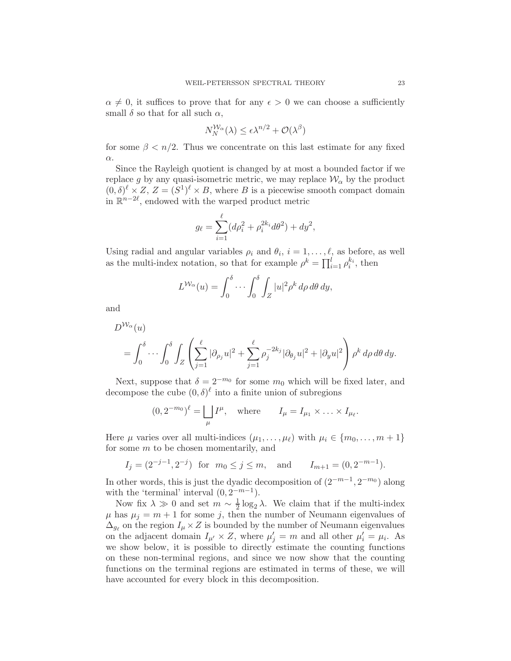$\alpha \neq 0$ , it suffices to prove that for any  $\epsilon > 0$  we can choose a sufficiently small  $\delta$  so that for all such  $\alpha$ ,

$$
N_N^{\mathcal{W}_\alpha}(\lambda) \le \epsilon \lambda^{n/2} + \mathcal{O}(\lambda^{\beta})
$$

for some  $\beta < n/2$ . Thus we concentrate on this last estimate for any fixed α.

Since the Rayleigh quotient is changed by at most a bounded factor if we replace g by any quasi-isometric metric, we may replace  $\mathcal{W}_{\alpha}$  by the product  $(0, \delta)^{\ell} \times Z$ ,  $Z = (S^1)^{\ell} \times B$ , where B is a piecewise smooth compact domain in  $\mathbb{R}^{n-2\ell}$ , endowed with the warped product metric

$$
g_{\ell} = \sum_{i=1}^{\ell} (d\rho_i^2 + \rho_i^{2k_i} d\theta^2) + dy^2,
$$

Using radial and angular variables  $\rho_i$  and  $\theta_i$ ,  $i = 1, \ldots, \ell$ , as before, as well as the multi-index notation, so that for example  $\rho^k = \prod_{i=1}^l \rho_i^{k_i}$ , then

$$
L^{\mathcal{W}_{\alpha}}(u) = \int_0^{\delta} \cdots \int_0^{\delta} \int_Z |u|^2 \rho^k d\rho d\theta dy,
$$

and

$$
D^{\mathcal{W}_{\alpha}}(u)
$$
  
=  $\int_0^{\delta} \cdots \int_0^{\delta} \int_Z \left( \sum_{j=1}^{\ell} |\partial_{\rho_j} u|^2 + \sum_{j=1}^{\ell} \rho_j^{-2k_j} |\partial_{\theta_j} u|^2 + |\partial_y u|^2 \right) \rho^k d\rho d\theta dy.$ 

Next, suppose that  $\delta = 2^{-m_0}$  for some  $m_0$  which will be fixed later, and decompose the cube  $(0, \delta)^\ell$  into a finite union of subregions

$$
(0, 2^{-m_0})^{\ell} = \bigsqcup_{\mu} I^{\mu}
$$
, where  $I_{\mu} = I_{\mu_1} \times \ldots \times I_{\mu_{\ell}}$ .

Here  $\mu$  varies over all multi-indices  $(\mu_1, \ldots, \mu_\ell)$  with  $\mu_i \in \{m_0, \ldots, m+1\}$ for some m to be chosen momentarily, and

$$
I_j = (2^{-j-1}, 2^{-j})
$$
 for  $m_0 \le j \le m$ , and  $I_{m+1} = (0, 2^{-m-1})$ .

In other words, this is just the dyadic decomposition of  $(2^{-m-1}, 2^{-m_0})$  along with the 'terminal' interval  $(0, 2^{-m-1})$ .

Now fix  $\lambda \gg 0$  and set  $m \sim \frac{1}{2}$  $\frac{1}{2} \log_2 \lambda$ . We claim that if the multi-index  $\mu$  has  $\mu_i = m + 1$  for some j, then the number of Neumann eigenvalues of  $\Delta_{g_{\ell}}$  on the region  $I_{\mu} \times Z$  is bounded by the number of Neumann eigenvalues on the adjacent domain  $I_{\mu'} \times Z$ , where  $\mu'_j = m$  and all other  $\mu'_i = \mu_i$ . As we show below, it is possible to directly estimate the counting functions on these non-terminal regions, and since we now show that the counting functions on the terminal regions are estimated in terms of these, we will have accounted for every block in this decomposition.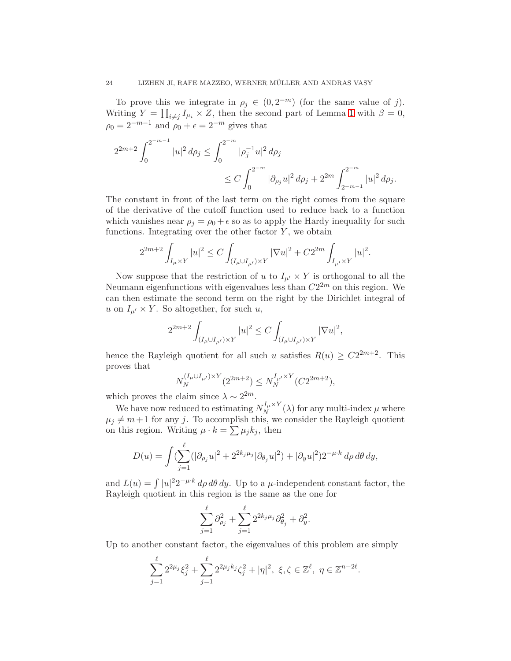To prove this we integrate in  $\rho_j \in (0, 2^{-m})$  (for the same value of j). Writing  $Y = \prod_{i \neq j} I_{\mu_i} \times Z$ , then the second part of Lemma [1](#page-8-1) with  $\beta = 0$ ,  $\rho_0 = 2^{-m-1}$  and  $\rho_0 + \epsilon = 2^{-m}$  gives that

$$
\begin{aligned} 2^{2m+2} \int_0^{2^{-m-1}} |u|^2 \, d\rho_j &\le \int_0^{2^{-m}} |\rho_j^{-1}u|^2 \, d\rho_j \\ &\le C \int_0^{2^{-m}} |\partial_{\rho_j} u|^2 \, d\rho_j + 2^{2m} \int_{2^{-m-1}}^{2^{-m}} |u|^2 \, d\rho_j. \end{aligned}
$$

The constant in front of the last term on the right comes from the square of the derivative of the cutoff function used to reduce back to a function which vanishes near  $\rho_i = \rho_0 + \epsilon$  so as to apply the Hardy inequality for such functions. Integrating over the other factor  $Y$ , we obtain

$$
2^{2m+2}\int_{I_{\mu}\times Y} |u|^2 \le C\int_{(I_{\mu}\cup I_{\mu'})\times Y} |\nabla u|^2 + C2^{2m}\int_{I_{\mu'}\times Y} |u|^2.
$$

Now suppose that the restriction of u to  $I_{\mu'} \times Y$  is orthogonal to all the Neumann eigenfunctions with eigenvalues less than  $C2^{2m}$  on this region. We can then estimate the second term on the right by the Dirichlet integral of u on  $I_{\mu'} \times Y$ . So altogether, for such u,

$$
2^{2m+2} \int_{(I_{\mu} \cup I_{\mu'}) \times Y} |u|^2 \le C \int_{(I_{\mu} \cup I_{\mu'}) \times Y} |\nabla u|^2,
$$

hence the Rayleigh quotient for all such u satisfies  $R(u) \geq C2^{2m+2}$ . This proves that

$$
N_N^{(I_{\mu}\cup I_{\mu'})\times Y}(2^{2m+2})\leq N_N^{I_{\mu'}\times Y}(C2^{2m+2}),
$$

which proves the claim since  $\lambda \sim 2^{2m}$ .

We have now reduced to estimating  $N_N^{I_\mu \times Y}$  $\chi_N^{T_\mu \times T}(\lambda)$  for any multi-index  $\mu$  where  $\mu_j \neq m+1$  for any j. To accomplish this, we consider the Rayleigh quotient on this region. Writing  $\mu \cdot k = \sum \mu_j k_j$ , then

$$
D(u) = \int \left(\sum_{j=1}^{\ell} (|\partial_{\rho_j} u|^2 + 2^{2k_j \mu_j} |\partial_{\theta_j} u|^2) + |\partial_y u|^2\right) 2^{-\mu \cdot k} d\rho d\theta dy,
$$

and  $L(u) = \int |u|^2 2^{-\mu \cdot k} d\rho d\theta dy$ . Up to a  $\mu$ -independent constant factor, the Rayleigh quotient in this region is the same as the one for

$$
\sum_{j=1}^{\ell} \partial_{\rho_j}^2 + \sum_{j=1}^{\ell} 2^{2k_j \mu_j} \partial_{\theta_j}^2 + \partial_y^2.
$$

Up to another constant factor, the eigenvalues of this problem are simply

$$
\sum_{j=1}^{\ell} 2^{2\mu_j} \xi_j^2 + \sum_{j=1}^{\ell} 2^{2\mu_j k_j} \zeta_j^2 + |\eta|^2, \ \xi, \zeta \in \mathbb{Z}^{\ell}, \ \eta \in \mathbb{Z}^{n-2\ell}.
$$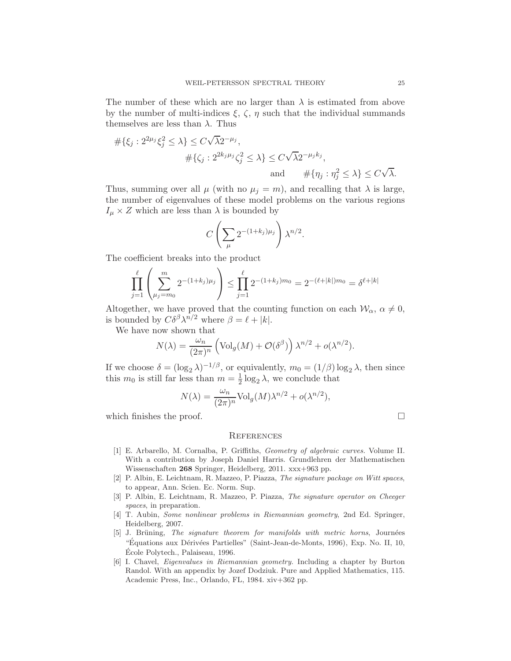The number of these which are no larger than  $\lambda$  is estimated from above by the number of multi-indices  $\xi$ ,  $\zeta$ ,  $\eta$  such that the individual summands themselves are less than  $\lambda$ . Thus

$$
\begin{aligned}\n\#\{\xi_j: 2^{2\mu_j} \xi_j^2 \le \lambda\} &\le C\sqrt{\lambda} 2^{-\mu_j}, \\
&\quad \# \{\zeta_j: 2^{2k_j \mu_j} \zeta_j^2 \le \lambda\} \le C\sqrt{\lambda} 2^{-\mu_j k_j}, \\
&\quad \text{and} \qquad \#\{\eta_j: \eta_j^2 \le \lambda\} \le C\sqrt{\lambda}.\n\end{aligned}
$$

Thus, summing over all  $\mu$  (with no  $\mu_j = m$ ), and recalling that  $\lambda$  is large, the number of eigenvalues of these model problems on the various regions  $I_{\mu} \times Z$  which are less than  $\lambda$  is bounded by

$$
C\left(\sum_{\mu} 2^{-(1+k_j)\mu_j}\right)\lambda^{n/2}.
$$

The coefficient breaks into the product

$$
\prod_{j=1}^{\ell} \left( \sum_{\mu_j = m_0}^{m} 2^{-(1+k_j)\mu_j} \right) \le \prod_{j=1}^{\ell} 2^{-(1+k_j)m_0} = 2^{-(\ell+|k|)m_0} = \delta^{\ell+|k|}
$$

Altogether, we have proved that the counting function on each  $\mathcal{W}_{\alpha}$ ,  $\alpha \neq 0$ , is bounded by  $C\delta^{\beta}\lambda^{n/2}$  where  $\beta = \ell + |k|$ .

We have now shown that

$$
N(\lambda) = \frac{\omega_n}{(2\pi)^n} \left( \text{Vol}_g(M) + \mathcal{O}(\delta^{\beta}) \right) \lambda^{n/2} + o(\lambda^{n/2}).
$$

If we choose  $\delta = (\log_2 \lambda)^{-1/\beta}$ , or equivalently,  $m_0 = (1/\beta) \log_2 \lambda$ , then since this  $m_0$  is still far less than  $m=\frac{1}{2}$  $\frac{1}{2} \log_2 \lambda$ , we conclude that

$$
N(\lambda) = \frac{\omega_n}{(2\pi)^n} \text{Vol}_g(M) \lambda^{n/2} + o(\lambda^{n/2}),
$$

which finishes the proof.  $\Box$ 

#### **REFERENCES**

- <span id="page-24-3"></span>[1] E. Arbarello, M. Cornalba, P. Griffiths, Geometry of algebraic curves. Volume II. With a contribution by Joseph Daniel Harris. Grundlehren der Mathematischen Wissenschaften 268 Springer, Heidelberg, 2011. xxx+963 pp.
- <span id="page-24-0"></span>[2] P. Albin, E. Leichtnam, R. Mazzeo, P. Piazza, The signature package on Witt spaces, to appear, Ann. Scien. Ec. Norm. Sup.
- <span id="page-24-1"></span>[3] P. Albin, E. Leichtnam, R. Mazzeo, P. Piazza, The signature operator on Cheeger spaces, in preparation.
- <span id="page-24-4"></span>[4] T. Aubin, Some nonlinear problems in Riemannian geometry, 2nd Ed. Springer, Heidelberg, 2007.
- <span id="page-24-2"></span>[5] J. Brüning, The signature theorem for manifolds with metric horns, Journées "Équations aux Dérivées Partielles" (Saint-Jean-de-Monts, 1996), Exp. No. II, 10, Ecole Polytech., Palaiseau, 1996. ´
- <span id="page-24-5"></span>[6] I. Chavel, Eigenvalues in Riemannian geometry. Including a chapter by Burton Randol. With an appendix by Jozef Dodziuk. Pure and Applied Mathematics, 115. Academic Press, Inc., Orlando, FL, 1984. xiv+362 pp.